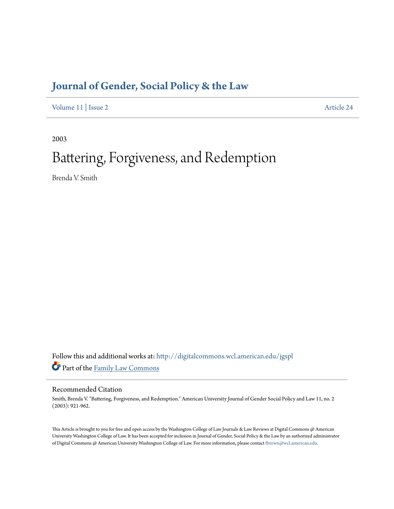# **[Journal of Gender, Social Policy & the Law](http://digitalcommons.wcl.american.edu/jgspl?utm_source=digitalcommons.wcl.american.edu%2Fjgspl%2Fvol11%2Fiss2%2F24&utm_medium=PDF&utm_campaign=PDFCoverPages)**

[Volume 11](http://digitalcommons.wcl.american.edu/jgspl/vol11?utm_source=digitalcommons.wcl.american.edu%2Fjgspl%2Fvol11%2Fiss2%2F24&utm_medium=PDF&utm_campaign=PDFCoverPages) | [Issue 2](http://digitalcommons.wcl.american.edu/jgspl/vol11/iss2?utm_source=digitalcommons.wcl.american.edu%2Fjgspl%2Fvol11%2Fiss2%2F24&utm_medium=PDF&utm_campaign=PDFCoverPages) [Article 24](http://digitalcommons.wcl.american.edu/jgspl/vol11/iss2/24?utm_source=digitalcommons.wcl.american.edu%2Fjgspl%2Fvol11%2Fiss2%2F24&utm_medium=PDF&utm_campaign=PDFCoverPages)

2003

# Battering, Forgiveness, and Redemption

Brenda V. Smith

Follow this and additional works at: [http://digitalcommons.wcl.american.edu/jgspl](http://digitalcommons.wcl.american.edu/jgspl?utm_source=digitalcommons.wcl.american.edu%2Fjgspl%2Fvol11%2Fiss2%2F24&utm_medium=PDF&utm_campaign=PDFCoverPages) Part of the [Family Law Commons](http://network.bepress.com/hgg/discipline/602?utm_source=digitalcommons.wcl.american.edu%2Fjgspl%2Fvol11%2Fiss2%2F24&utm_medium=PDF&utm_campaign=PDFCoverPages)

# Recommended Citation

Smith, Brenda V. "Battering, Forgiveness, and Redemption." American University Journal of Gender Social Policy and Law 11, no. 2 (2003): 921-962.

This Article is brought to you for free and open access by the Washington College of Law Journals & Law Reviews at Digital Commons @ American University Washington College of Law. It has been accepted for inclusion in Journal of Gender, Social Policy & the Law by an authorized administrator of Digital Commons @ American University Washington College of Law. For more information, please contact [fbrown@wcl.american.edu.](mailto:fbrown@wcl.american.edu)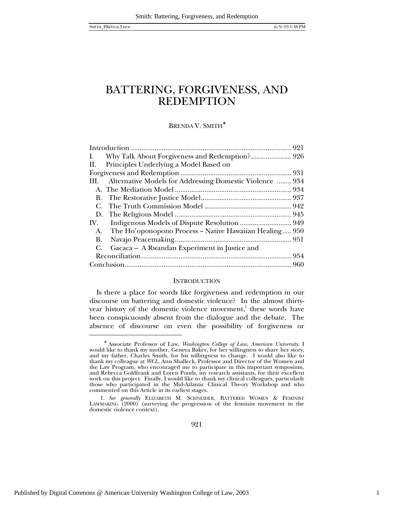### BRENDA V. SMITH<sup>\*</sup>

| II. Principles Underlying a Model Based on                    |  |
|---------------------------------------------------------------|--|
|                                                               |  |
| III. Alternative Models for Addressing Domestic Violence  934 |  |
|                                                               |  |
| В.                                                            |  |
| С.                                                            |  |
|                                                               |  |
|                                                               |  |
| The Ho'oponopono Process - Native Hawaiian Healing 950<br>A.  |  |
| <b>B.</b>                                                     |  |
| Gacaca - A Rwandan Experiment in Justice and<br>C.            |  |
|                                                               |  |
|                                                               |  |

#### **INTRODUCTION**

Is there a place for words like forgiveness and redemption in our discourse on battering and domestic violence? In the almost thirtyyear history of the domestic violence movement, $^1$  these words have been conspicuously absent from the dialogue and the debate. The absence of discourse on even the possibility of forgiveness or

1

<sup>∗</sup> Associate Professor of Law, *Washington College of Law*, *American University*. I would like to thank my mother, Geneva Baker, for her willingness to share her story, and my father, Charles Smith, for his willingness to change. I would also like to thank my colleague at *WCL*, Ann Shalleck, Professor and Director of the Women and the Law Program, who encouraged me to participate in this important symposium, and Rebecca Goldfrank and Loren Ponds, my research assistants, for their excellent work on this project. Finally, I would like to thank my clinical colleagues, particularly those who participated in the Mid-Atlantic Clinical Theory Workshop and who commented on this Article in its earliest stages.

<sup>1</sup>*. See generally* ELIZABETH M. SCHNEIDER, BATTERED WOMEN & FEMINIST LAWMAKING (2000) (surveying the progression of the feminist movement in the domestic violence context).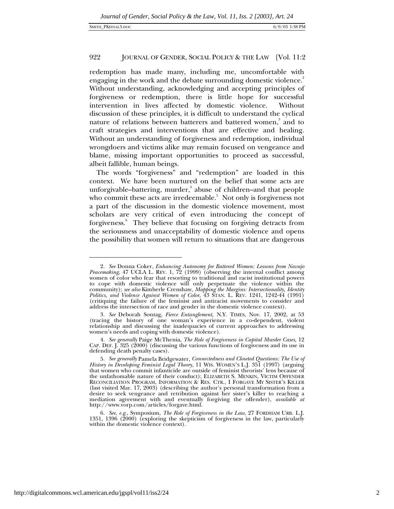redemption has made many, including me, uncomfortable with engaging in the work and the debate surrounding domestic violence.<sup>2</sup> Without understanding, acknowledging and accepting principles of forgiveness or redemption, there is little hope for successful intervention in lives affected by domestic violence. Without discussion of these principles, it is difficult to understand the cyclical nature of relations between batterers and battered women,<sup>3</sup> and to craft strategies and interventions that are effective and healing. Without an understanding of forgiveness and redemption, individual wrongdoers and victims alike may remain focused on vengeance and blame, missing important opportunities to proceed as successful, albeit fallible, human beings.

The words "forgiveness" and "redemption" are loaded in this context. We have been nurtured on the belief that some acts are unforgivable–battering, murder,<sup>4</sup> abuse of children–and that people who commit these acts are irredeemable. $5\,$  Not only is forgiveness not a part of the discussion in the domestic violence movement, most scholars are very critical of even introducing the concept of forgiveness.<sup>6</sup> They believe that focusing on forgiving detracts from the seriousness and unacceptability of domestic violence and opens the possibility that women will return to situations that are dangerous

<sup>2</sup>*. See* Donna Coker, *Enhancing Autonomy for Battered Women: Lessons from Navajo Peacemaking*, 47 UCLA L. REV. 1, 72 (1999) (observing the internal conflict among women of color who fear that resorting to traditional and racist institutional powers to cope with domestic violence will only perpetuate the violence within the community); *see also* Kimberle Crenshaw, *Mapping the Margins: Intersectionality, Identity Politics, and Violence Against Women of Color,* 43 STAN. L. REV. 1241, 1242-44 (1991) (critiquing the failure of the feminist and antiracist movements to consider and address the intersection of race and gender in the domestic violence context).

<sup>3</sup>*. See* Deborah Sontag, *Fierce Entanglement,* N.Y. TIMES, Nov. 17, 2002, at 53 (tracing the history of one woman's experience in a co-dependent, violent relationship and discussing the inadequacies of current approaches to addressing women's needs and coping with domestic violence).

<sup>4</sup>*. See generally* Paige McThenia, *The Role of Forgiveness in Capital Murder Cases*, 12 CAP. DEF. J. 325 (2000) (discussing the various functions of forgiveness and its use in defending death penalty cases).

<sup>5</sup>*. See generally* Pamela Bridgewater, *Connectedness and Closeted Questions: The Use of History in Developing Feminist Legal Theory*, 11 WIS. WOMEN'S L.J. 351 (1997) (arguing that women who commit infanticide are outside of feminist theorists' lens because of the unfathomable nature of their conduct); ELIZABETH S. MENKIN, VICTIM OFFENDER RECONCILIATION PROGRAM, INFORMATION & RES. CTR., I FORGAVE MY SISTER'S KILLER (last visited Mar. 17, 2003) (describing the author's personal transformation from a desire to seek vengeance and retribution against her sister's killer to reaching a mediation agreement with and eventually forgiving the offender), *available at* http://www.vorp.com/articles/forgave.html.

<sup>6</sup>*. See*, *e.g*., Symposium, *The Role of Forgiveness in the Law*, 27 FORDHAM URB. L.J. 1351, 1396 (2000) (exploring the skepticism of forgiveness in the law, particularly within the domestic violence context).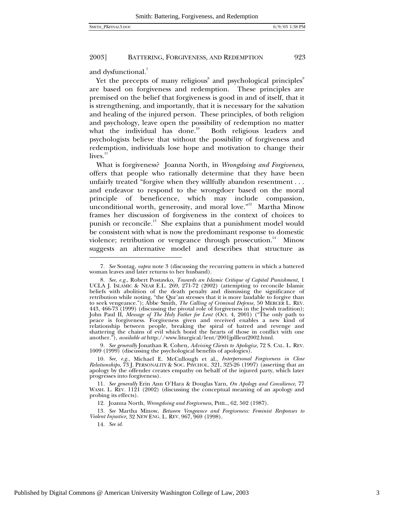and dysfunctional.<sup>7</sup>

Yet the precepts of many religious $^{\rm s}$  and psychological principles $^{\rm s}$ are based on forgiveness and redemption. These principles are premised on the belief that forgiveness is good in and of itself, that it is strengthening, and importantly, that it is necessary for the salvation and healing of the injured person. These principles, of both religion and psychology, leave open the possibility of redemption no matter what the individual has done.<sup>10</sup> Both religious leaders and psychologists believe that without the possibility of forgiveness and redemption, individuals lose hope and motivation to change their  $lives.<sup>11</sup>$ 

What is forgiveness? Joanna North, in *Wrongdoing and Forgiveness*, offers that people who rationally determine that they have been unfairly treated "forgive when they willfully abandon resentment . . . and endeavor to respond to the wrongdoer based on the moral principle of beneficence, which may include compassion, unconditional worth, generosity, and moral love."<sup>12</sup> Martha Minow frames her discussion of forgiveness in the context of choices to punish or reconcile.<sup>13</sup> She explains that a punishment model would be consistent with what is now the predominant response to domestic violence; retribution or vengeance through prosecution.<sup>14</sup> Minow suggests an alternative model and describes that structure as

<sup>9</sup>*. See generally* Jonathan R. Cohen, *Advising Clients to Apologize*, 72 S. CAL. L. REV. 1009 (1999) (discussing the psychological benefits of apologies).

12. Joanna North, *Wrongdoing and Forgiveness,* PHIL., 62, 502 (1987).

13*. See* Martha Minow, *Between Vengeance and Forgiveness: Feminist Responses to Violent Injustice*, 32 NEW ENG. L. REV. 967, 969 (1998).

14*. See id.*

<sup>7</sup>*. See* Sontag, *supra* note 3 (discussing the recurring pattern in which a battered woman leaves and later returns to her husband).

<sup>8</sup>*. See*, *e.g.*, Robert Postawko, *Towards an Islamic Critique of Capital Punishment,* 1 UCLA J. ISLAMIC & NEAR E.L. 269, 271-72 (2002) (attempting to reconcile Islamic beliefs with abolition of the death penalty and dismissing the significance of retribution while noting, "the Qur'an stresses that it is more laudable to forgive than to seek vengeance."); Abbe Smith, *The Calling of Criminal Defense,* 50 MERCER L. REV. 443, 466-73 (1999) (discussing the pivotal role of forgiveness in the Jewish tradition); John Paul II, *Message of The Holy Father for Lent* (Oct. 4, 2001) ("The only path to peace is forgiveness. Forgiveness given and received enables a new kind of relationship between people, breaking the spiral of hatred and revenge and shattering the chains of evil which bond the hearts of those in conflict with one another."), *available at* http://www.liturgical/lent/2001jplllent2002.html.

<sup>10</sup>*. See*, *e.g.*, Michael E. McCullough et al., *Interpersonal Forgiveness in Close Relationships*, 73 J. PERSONALITY & SOC. PSYCHOL. 321, 325-26 (1997) (asserting that an apology by the offender creates empathy on behalf of the injured party, which later progresses into forgiveness).

<sup>11</sup>*. See generally* Erin Ann O'Hara & Douglas Yarn, *On Apology and Consilience*, 77 WASH. L. REV. 1121 (2002) (discussing the conceptual meaning of an apology and probing its effects).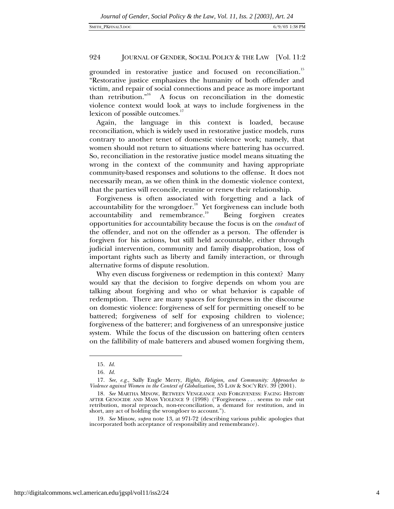grounded in restorative justice and focused on reconciliation.<sup>15</sup> "Restorative justice emphasizes the humanity of both offender and victim, and repair of social connections and peace as more important than retribution."16 A focus on reconciliation in the domestic violence context would look at ways to include forgiveness in the lexicon of possible outcomes.<sup>17</sup>

Again, the language in this context is loaded, because reconciliation, which is widely used in restorative justice models, runs contrary to another tenet of domestic violence work; namely, that women should not return to situations where battering has occurred. So, reconciliation in the restorative justice model means situating the wrong in the context of the community and having appropriate community-based responses and solutions to the offense. It does not necessarily mean, as we often think in the domestic violence context, that the parties will reconcile, reunite or renew their relationship.

Forgiveness is often associated with forgetting and a lack of accountability for the wrongdoer.<sup>18</sup> Yet forgiveness can include both  $accountability$  and remembrance.<sup>19</sup> Being forgiven creates opportunities for accountability because the focus is on the *conduct* of the offender, and not on the offender as a person. The offender is forgiven for his actions, but still held accountable, either through judicial intervention, community and family disapprobation, loss of important rights such as liberty and family interaction, or through alternative forms of dispute resolution.

Why even discuss forgiveness or redemption in this context? Many would say that the decision to forgive depends on whom you are talking about forgiving and who or what behavior is capable of redemption. There are many spaces for forgiveness in the discourse on domestic violence: forgiveness of self for permitting oneself to be battered; forgiveness of self for exposing children to violence; forgiveness of the batterer; and forgiveness of an unresponsive justice system. While the focus of the discussion on battering often centers on the fallibility of male batterers and abused women forgiving them,

<sup>15</sup>*. Id.*

<sup>16</sup>*. Id.*

<sup>17</sup>*. See*, *e.g.*, Sally Engle Merry, *Rights, Religion, and Community: Approaches to Violence against Women in the Context of Globalization,* 35 LAW & SOC'Y REV. 39 (2001).

<sup>18</sup>*. See* MARTHA MINOW, BETWEEN VENGEANCE AND FORGIVENESS: FACING HISTORY AFTER GENOCIDE AND MASS VIOLENCE 9 (1998) ("Forgiveness . . . seems to rule out retribution, moral reproach, non-reconciliation, a demand for restitution, and in short, any act of holding the wrongdoer to account.").

<sup>19</sup>*. See* Minow, *supra* note 13, at 971-72 (describing various public apologies that incorporated both acceptance of responsibility and remembrance).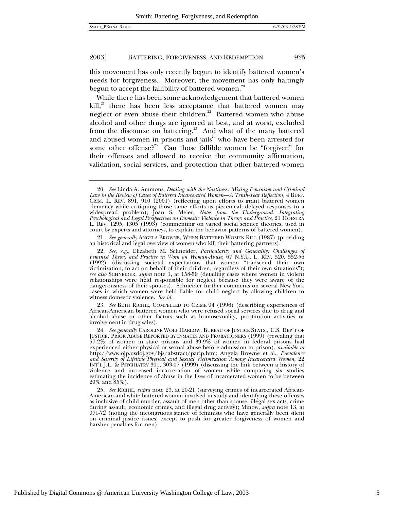-

#### 2003] BATTERING, FORGIVENESS, AND REDEMPTION 925

this movement has only recently begun to identify battered women's needs for forgiveness. Moreover, the movement has only haltingly begun to accept the fallibility of battered women.<sup>20</sup>

While there has been some acknowledgement that battered women  $kill$ ,<sup>21</sup> there has been less acceptance that battered women may neglect or even abuse their children.<sup>22</sup> Battered women who abuse alcohol and other drugs are ignored at best, and at worst, excluded from the discourse on battering.<sup>23</sup> And what of the many battered and abused women in prisons and jails $34$  who have been arrested for some other offense?<sup>25</sup> Can those fallible women be "forgiven" for their offenses and allowed to receive the community affirmation, validation, social services, and protection that other battered women

23*. See* BETH RICHIE, COMPELLED TO CRIME 94 (1996) (describing experiences of African-American battered women who were refused social services due to drug and alcohol abuse or other factors such as homosexuality, prostitution activities or involvement in drug sales).

<sup>20</sup>*. See* Linda A. Ammons, *Dealing with the Nastiness: Mixing Feminism and Criminal Law in the Review of Cases of Battered Incarcerated Women*—*A Tenth-Year Reflection,* 4 BUFF. CRIM. L. REV. 891, 910 (2001) (reflecting upon efforts to grant battered women clemency while critiquing those same efforts as piecemeal, delayed responses to a widespread problem); Joan S. Meier, *Notes from the Underground: Integrating Psychological and Legal Perspectives on Domestic Violence in Theory and Practice,* 21 HOFSTRA L. REV. 1295, 1305 (1993) (commenting on varied social science theories, used in court by experts and attorneys, to explain the behavior patterns of battered women).

<sup>21</sup>*. See generally* ANGELA BROWNE, WHEN BATTERED WOMEN KILL (1987) (providing an historical and legal overview of women who kill their battering partners).

<sup>22</sup>*. See*, *e.g.*, Elizabeth M. Schneider, *Particularity and Generality: Challenges of Feminist Theory and Practice in Work on Woman-Abuse,* 67 N.Y.U. L. REV. 520, 552-56 (1992) (discussing societal expectations that women "transcend their own victimization, to act on behalf of their children, regardless of their own situations"); *see also* SCHNEIDER, *supra* note 1, at 158-59 (detailing cases where women in violent relationships were held responsible for neglect because they were aware of the dangerousness of their spouses). Schneider further comments on several New York cases in which women were held liable for child neglect by allowing children to witness domestic violence. *See id.*

<sup>24</sup>*. See generally* CAROLINE WOLF HARLOW, BUREAU OF JUSTICE STATS., U.S. DEP'T OF JUSTICE, PRIOR ABUSE REPORTED BY INMATES AND PROBATIONERS (1999) (revealing that 57.2% of women in state prisons and 39.9% of women in federal prisons had experienced either physical or sexual abuse before admission to prison), *available at* http://www.ojp.usdoj.gov/bjs/abstract/parip.htm; Angela Browne et al., *Prevalence and Severity of Lifetime Physical and Sexual Victimization Among Incarcerated Women,* 22 INT'L J.L. & PSYCHIATRY 301, 303-07 (1999) (discussing the link between a history of violence and increased incarceration of women while comparing six studies estimating the incidence of abuse in the lives of incarcerated women to be between 29% and 85%).

<sup>25</sup>*. See* RICHIE, *supra* note 23, at 20-21 (surveying crimes of incarcerated African-American and white battered women involved in study and identifying these offenses as inclusive of child murder, assault of men other than spouse, illegal sex acts, crime during assault, economic crimes, and illegal drug activity); Minow, *supra* note 13, at 971-72 (noting the incongruous stance of feminists who have generally been silent on criminal justice issues, except to push for greater forgiveness of women and harsher penalties for men).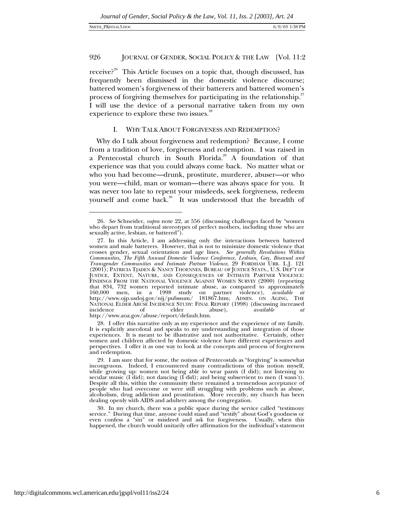#### SMITH\_PKFINAL3.DOC 6/9/03 1:38 PM

-

# 926 JOURNAL OF GENDER, SOCIAL POLICY & THE LAW [Vol. 11:2

receive?<sup>26</sup> This Article focuses on a topic that, though discussed, has frequently been dismissed in the domestic violence discourse; battered women's forgiveness of their batterers and battered women's process of forgiving themselves for participating in the relationship.<sup>27</sup> I will use the device of a personal narrative taken from my own experience to explore these two issues.<sup>28</sup>

# I. WHY TALK ABOUT FORGIVENESS AND REDEMPTION?

Why do I talk about forgiveness and redemption? Because, I come from a tradition of love, forgiveness and redemption. I was raised in a Pentecostal church in South Florida.<sup>29</sup> A foundation of that experience was that you could always come back. No matter what or who you had become—drunk, prostitute, murderer, abuser—or who you were—child, man or woman—there was always space for you. It was never too late to repent your misdeeds, seek forgiveness, redeem yourself and come back.<sup>30</sup> It was understood that the breadth of

<sup>26</sup>*. See* Schneider, *supra* note 22, at 556 (discussing challenges faced by "women who depart from traditional stereotypes of perfect mothers, including those who are sexually active, lesbian, or battered").

<sup>27.</sup> In this Article, I am addressing only the interactions between battered women and male batterers. However, that is not to minimize domestic violence that crosses gender, sexual orientation and age lines. *See generally Revolutions Within Communities, The Fifth Annual Domestic Violence Conference, Lesbian, Gay, Bisexual and Transgender Communities and Intimate Partner Violence*, 29 FORDHAM URB. L.J. 121 (2001); PATRICIA TJADEN & NANCY THOENNES, BUREAU OF JUSTICE STATS., U.S. DEP'T OF JUSTICE, EXTENT, NATURE, AND CONSEQUENCES OF INTIMATE PARTNER VIOLENCE: FINDINGS FROM THE NATIONAL VIOLENCE AGAINST WOMEN SURVEY (2000) (reporting that 834, 732 women reported intimate abuse, as compared to approximately 160,000 men, in a 1998 study on partner violence), *available at* http://www.ojp.usdoj.gov/nij/pubssum/ 181867.htm; ADMIN. ON AGING, THE NATIONAL ELDER ABUSE INCIDENCE STUDY: FINAL REPORT (1998) (discussing increased incidence of elder abuse), *available at* incidence of elder abuse), *available at* http://www.aoa.gov/abuse/report/default.htm.

<sup>28.</sup> I offer this narrative only as my experience and the experience of my family. It is explicitly anecdotal and speaks to my understanding and integration of those experiences. It is meant to be illustrative and not authoritative. Certainly, other women and children affected by domestic violence have different experiences and perspectives. I offer it as one way to look at the concepts and process of forgiveness and redemption.

<sup>29.</sup> I am sure that for some, the notion of Pentecostals as "forgiving" is somewhat incongruous. Indeed, I encountered many contradictions of this notion myself, while growing up: women not being able to wear pants (I did); not listening to secular music (I did); not dancing (I did); and being subservient to men (I wasn't). Despite all this, within the community there remained a tremendous acceptance of people who had overcome or were still struggling with problems such as abuse, alcoholism, drug addiction and prostitution. More recently, my church has been dealing openly with AIDS and adultery among the congregation.

<sup>30.</sup> In my church, there was a public space during the service called "testimony service." During that time, anyone could stand and "testify" about God's goodness or even confess a "sin" or misdeed and ask for forgiveness. Usually, when this happened, the church would unitarily offer affirmation for the individual's statement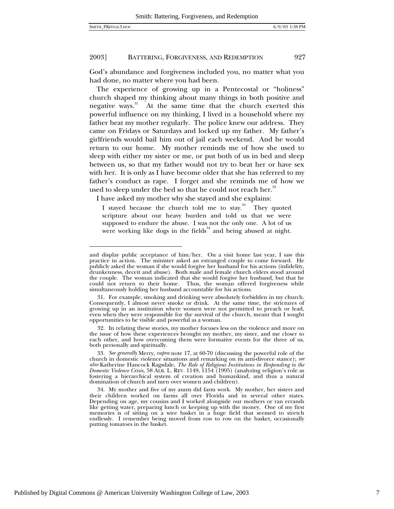1

# 2003] BATTERING, FORGIVENESS, AND REDEMPTION 927

God's abundance and forgiveness included you, no matter what you had done, no matter where you had been.

The experience of growing up in a Pentecostal or "holiness" church shaped my thinking about many things in both positive and negative ways. $31$  At the same time that the church exerted this powerful influence on my thinking, I lived in a household where my father beat my mother regularly. The police knew our address. They came on Fridays or Saturdays and locked up my father. My father's girlfriends would bail him out of jail each weekend. And he would return to our home. My mother reminds me of how she used to sleep with either my sister or me, or put both of us in bed and sleep between us, so that my father would not try to beat her or have sex with her. It is only as I have become older that she has referred to my father's conduct as rape. I forget and she reminds me of how we used to sleep under the bed so that he could not reach her.<sup>32</sup>

I have asked my mother why she stayed and she explains:

I stayed because the church told me to stay.<sup>33</sup> They quoted scripture about our heavy burden and told us that we were supposed to endure the abuse. I was not the only one. A lot of us were working like dogs in the fields<sup>34</sup> and being abused at night.

and display public acceptance of him/her. On a visit home last year, I saw this practice in action. The minister asked an estranged couple to come forward. He publicly asked the woman if she would forgive her husband for his actions (infidelity, drunkenness, deceit and abuse). Both male and female church elders stood around the couple. The woman indicated that she would forgive her husband, but that he could not return to their home. Thus, the woman offered forgiveness while simultaneously holding her husband accountable for his actions.

<sup>31.</sup> For example, smoking and drinking were absolutely forbidden in my church. Consequently, I almost never smoke or drink. At the same time, the strictures of growing up in an institution where women were not permitted to preach or lead, even when they were responsible for the survival of the church, meant that I sought opportunities to be visible and powerful as a woman.

<sup>32.</sup> In relating these stories, my mother focuses less on the violence and more on the issue of how these experiences brought my mother, my sister, and me closer to each other, and how overcoming them were formative events for the three of us, both personally and spiritually.

<sup>33</sup>*. See generally* Merry, *supra* note 17, at 60-70 (discussing the powerful role of the church in domestic violence situations and remarking on its anti-divorce stance); *see also* Katherine Hancock Ragsdale, *The Role of Religious Institutions in Responding to the Domestic Violence Crisis,* 58 ALB. L. REV. 1149, 1154 (1995) (analyzing religion's role as fostering a hierarchical system of creation and humankind, and thus a natural domination of church and men over women and children).

<sup>34.</sup> My mother and five of my aunts did farm work. My mother, her sisters and their children worked on farms all over Florida and in several other states. Depending on age, my cousins and I worked alongside our mothers or ran errands like getting water, preparing lunch or keeping up with the money. One of my first memories is of sitting on a wire basket in a huge field that seemed to stretch endlessly. I remember being moved from row to row on the basket, occasionally putting tomatoes in the basket.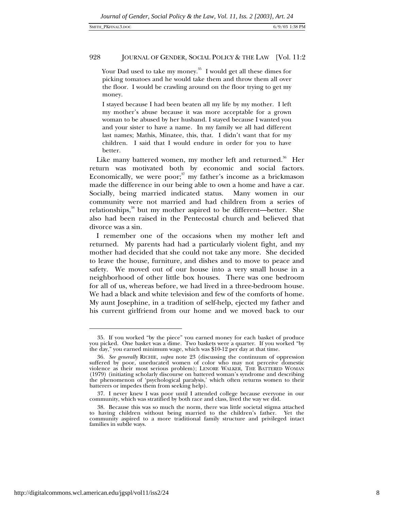Your Dad used to take my money. $35$  I would get all these dimes for picking tomatoes and he would take them and throw them all over the floor. I would be crawling around on the floor trying to get my money.

I stayed because I had been beaten all my life by my mother. I left my mother's abuse because it was more acceptable for a grown woman to be abused by her husband. I stayed because I wanted you and your sister to have a name. In my family we all had different last names; Mathis, Minatee, this, that. I didn't want that for my children. I said that I would endure in order for you to have better.

Like many battered women, my mother left and returned.<sup>36</sup> Her return was motivated both by economic and social factors. Economically, we were poor; $37$  my father's income as a brickmason made the difference in our being able to own a home and have a car. Socially, being married indicated status. Many women in our community were not married and had children from a series of relationships,<sup>38</sup> but my mother aspired to be different—better. She also had been raised in the Pentecostal church and believed that divorce was a sin.

I remember one of the occasions when my mother left and returned. My parents had had a particularly violent fight, and my mother had decided that she could not take any more. She decided to leave the house, furniture, and dishes and to move to peace and safety. We moved out of our house into a very small house in a neighborhood of other little box houses. There was one bedroom for all of us, whereas before, we had lived in a three-bedroom house. We had a black and white television and few of the comforts of home. My aunt Josephine, in a tradition of self-help, ejected my father and his current girlfriend from our home and we moved back to our

<sup>35.</sup> If you worked "by the piece" you earned money for each basket of produce you picked. One basket was a dime. Two baskets were a quarter. If you worked "by the day," you earned minimum wage, which was \$10-12 per day at that time.

<sup>36</sup>*. See generally* RICHIE, *supra* note 23 (discussing the continuum of oppression suffered by poor, uneducated women of color who may not perceive domestic violence as their most serious problem); LENORE WALKER, THE BATTERED WOMAN (1979) (initiating scholarly discourse on battered woman's syndrome and describing the phenomenon of 'psychological paralysis,' which often returns women to their batterers or impedes them from seeking help).

<sup>37.</sup> I never knew I was poor until I attended college because everyone in our community, which was stratified by both race and class, lived the way we did.

<sup>38.</sup> Because this was so much the norm, there was little societal stigma attached to having children without being married to the children's father. Yet the community aspired to a more traditional family structure and privileged intact families in subtle ways.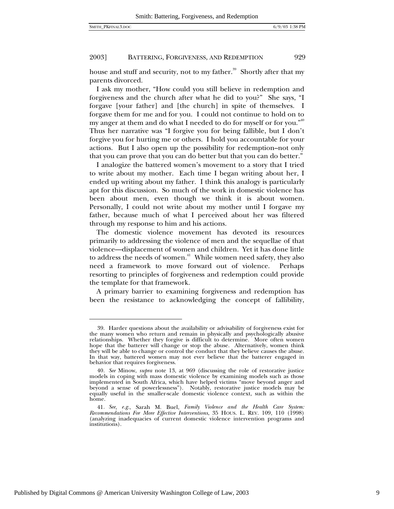$\overline{a}$ 

#### 2003] BATTERING, FORGIVENESS, AND REDEMPTION 929

house and stuff and security, not to my father.<sup>39</sup> Shortly after that my parents divorced.

I ask my mother, "How could you still believe in redemption and forgiveness and the church after what he did to you?" She says, "I forgave [your father] and [the church] in spite of themselves. I forgave them for me and for you. I could not continue to hold on to my anger at them and do what I needed to do for myself or for you." Thus her narrative was "I forgive you for being fallible, but I don't forgive you for hurting me or others. I hold you accountable for your actions. But I also open up the possibility for redemption–not only that you can prove that you can do better but that you can do better."

I analogize the battered women's movement to a story that I tried to write about my mother. Each time I began writing about her, I ended up writing about my father. I think this analogy is particularly apt for this discussion. So much of the work in domestic violence has been about men, even though we think it is about women. Personally, I could not write about my mother until I forgave my father, because much of what I perceived about her was filtered through my response to him and his actions.

The domestic violence movement has devoted its resources primarily to addressing the violence of men and the sequellae of that violence—displacement of women and children. Yet it has done little to address the needs of women.<sup>41</sup> While women need safety, they also need a framework to move forward out of violence. Perhaps resorting to principles of forgiveness and redemption could provide the template for that framework.

A primary barrier to examining forgiveness and redemption has been the resistance to acknowledging the concept of fallibility,

<sup>39.</sup> Harder questions about the availability or advisability of forgiveness exist for the many women who return and remain in physically and psychologically abusive relationships. Whether they forgive is difficult to determine. More often women hope that the batterer will change or stop the abuse. Alternatively, women think they will be able to change or control the conduct that they believe causes the abuse. In that way, battered women may not ever believe that the batterer engaged in behavior that requires forgiveness.

<sup>40</sup>*. See* Minow, *supra* note 13, at 969 (discussing the role of restorative justice models in coping with mass domestic violence by examining models such as those implemented in South Africa, which have helped victims "move beyond anger and beyond a sense of powerlessness"). Notably, restorative justice models may be equally useful in the smaller-scale domestic violence context, such as within the home.

<sup>41</sup>*. See*, *e.g.*, Sarah M. Buel, *Family Violence and the Health Care System: Recommendations For More Effective Interventions*, 35 HOUS. L. REV. 109, 110 (1998) (analyzing inadequacies of current domestic violence intervention programs and institutions).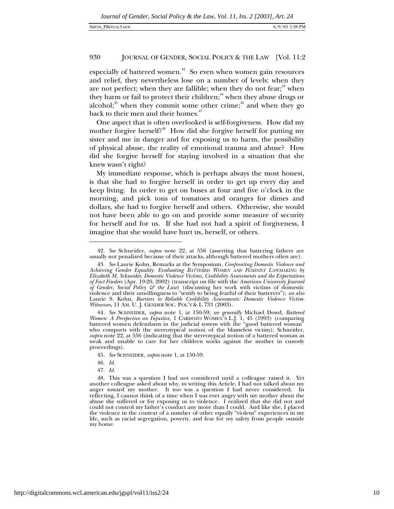especially of battered women.<sup> $42$ </sup> So even when women gain resources and relief, they nevertheless lose on a number of levels: when they are not perfect; when they are fallible; when they do not fear; $43$  when they harm or fail to protect their children;<sup>44</sup> when they abuse drugs or alcohol;<sup>45</sup> when they commit some other crime;<sup>46</sup> and when they go back to their men and their homes. $47$ 

One aspect that is often overlooked is self-forgiveness. How did my mother forgive herself?<sup>48</sup> How did she forgive herself for putting my sister and me in danger and for exposing us to harm, the possibility of physical abuse, the reality of emotional trauma and abuse? How did she forgive herself for staying involved in a situation that she knew wasn't right?

My immediate response, which is perhaps always the most honest, is that she had to forgive herself in order to get up every day and keep living. In order to get on buses at four and five o'clock in the morning, and pick tons of tomatoes and oranges for dimes and dollars, she had to forgive herself and others. Otherwise, she would not have been able to go on and provide some measure of security for herself and for us. If she had not had a spirit of forgiveness, I imagine that she would have hurt us, herself, or others.

 $\overline{a}$ 

47*. Id.*

<sup>42</sup>*. See* Schneider, *supra* note 22, at 556 (asserting that battering fathers are usually not penalized because of their attacks, although battered mothers often are).

<sup>43</sup>*. See* Laurie Kohn, Remarks at the Symposium, *Confronting Domestic Violence and Achieving Gender Equality: Evaluating BATTERED WOMEN AND FEMINIST LAWMAKING by Elizabeth M. Schneider*, *Domestic Violence Victims, Credibility Assessments and the Expectations of Fact Finders* (Apr. 19-20, 2002) (transcript on file with the *American University Journal of Gender, Social Policy & the Law*) (discussing her work with victims of domestic violence and their unwillingness to "testify to being fearful of their batterers"); *see also* Laurie S. Kohn, *Barriers to Reliable Credibility Assessments: Domestic Violence Victim-Witnesses*, 11 AM. U. J. GENDER SOC. POL'Y & L 733 (2003).

<sup>44</sup>*. See* SCHNEIDER, *supra* note 1, at 150-59; *see generally* Michael Dowd, *Battered Women: A Perspective on Injustice,* 1 CARDOZO WOMEN'S L.J. 1, 45 (1993) (comparing battered women defendants in the judicial system with the "good battered woman" who comports with the stereotypical notion of the blameless victim); Schneider, *supra* note 22, at 556 (indicating that the stereotypical notion of a battered woman as weak and unable to care for her children works against the mother in custody proceedings).

<sup>45</sup>*. See* SCHNEIDER, *supra* note 1, at 150-59.

<sup>46</sup>*. Id.*

<sup>48.</sup> This was a question I had not considered until a colleague raised it. Yet another colleague asked about why, in writing this Article, I had not talked about my anger toward my mother. It too was a question I had never considered. In reflecting, I cannot think of a time when I was ever angry with my mother about the abuse she suffered or for exposing us to violence. I realized that she did not and could not control my father's conduct any more than I could. And like she, I placed the violence in the context of a number of other equally "violent" experiences in my life, such as racial segregation, poverty, and fear for my safety from people outside my home.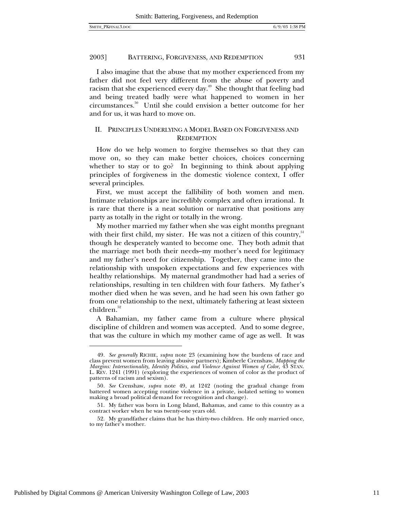I also imagine that the abuse that my mother experienced from my father did not feel very different from the abuse of poverty and racism that she experienced every day.<sup> $49$ </sup> She thought that feeling bad and being treated badly were what happened to women in her circumstances.50 Until she could envision a better outcome for her and for us, it was hard to move on.

# II. PRINCIPLES UNDERLYING A MODEL BASED ON FORGIVENESS AND **REDEMPTION**

How do we help women to forgive themselves so that they can move on, so they can make better choices, choices concerning whether to stay or to go? In beginning to think about applying principles of forgiveness in the domestic violence context, I offer several principles.

First, we must accept the fallibility of both women and men. Intimate relationships are incredibly complex and often irrational. It is rare that there is a neat solution or narrative that positions any party as totally in the right or totally in the wrong.

My mother married my father when she was eight months pregnant with their first child, my sister. He was not a citizen of this country, $51$ though he desperately wanted to become one. They both admit that the marriage met both their needs–my mother's need for legitimacy and my father's need for citizenship. Together, they came into the relationship with unspoken expectations and few experiences with healthy relationships. My maternal grandmother had had a series of relationships, resulting in ten children with four fathers. My father's mother died when he was seven, and he had seen his own father go from one relationship to the next, ultimately fathering at least sixteen children.<sup>52</sup>

A Bahamian, my father came from a culture where physical discipline of children and women was accepted. And to some degree, that was the culture in which my mother came of age as well. It was

<sup>49</sup>*. See generally* RICHIE, *supra* note 23 (examining how the burdens of race and class prevent women from leaving abusive partners); Kimberle Crenshaw, *Mapping the Margins: Intersectionality, Identity Politics, and Violence Against Women of Color,* 43 STAN. L. REV. 1241 (1991) (exploring the experiences of women of color as the product of patterns of racism and sexism).

<sup>50</sup>*. See* Crenshaw, *supra* note 49, at 1242 (noting the gradual change from battered women accepting routine violence in a private, isolated setting to women making a broad political demand for recognition and change).

<sup>51.</sup> My father was born in Long Island, Bahamas, and came to this country as a contract worker when he was twenty-one years old.

<sup>52.</sup> My grandfather claims that he has thirty-two children. He only married once, to my father's mother.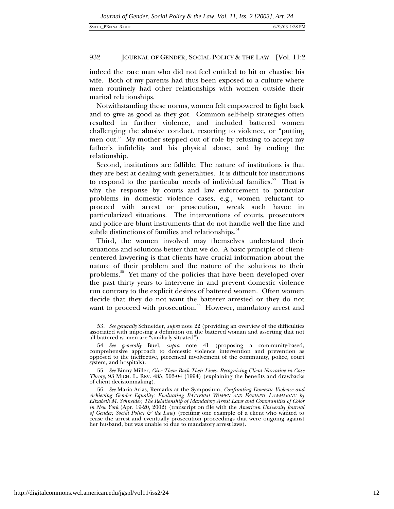indeed the rare man who did not feel entitled to hit or chastise his wife. Both of my parents had thus been exposed to a culture where men routinely had other relationships with women outside their marital relationships.

Notwithstanding these norms, women felt empowered to fight back and to give as good as they got. Common self-help strategies often resulted in further violence, and included battered women challenging the abusive conduct, resorting to violence, or "putting men out." My mother stepped out of role by refusing to accept my father's infidelity and his physical abuse, and by ending the relationship.

Second, institutions are fallible. The nature of institutions is that they are best at dealing with generalities. It is difficult for institutions to respond to the particular needs of individual families. $53$  That is why the response by courts and law enforcement to particular problems in domestic violence cases, e.g., women reluctant to proceed with arrest or prosecution, wreak such havoc in particularized situations. The interventions of courts, prosecutors and police are blunt instruments that do not handle well the fine and subtle distinctions of families and relationships.<sup>54</sup>

Third, the women involved may themselves understand their situations and solutions better than we do. A basic principle of clientcentered lawyering is that clients have crucial information about the nature of their problem and the nature of the solutions to their problems.<sup>55</sup> Yet many of the policies that have been developed over the past thirty years to intervene in and prevent domestic violence run contrary to the explicit desires of battered women. Often women decide that they do not want the batterer arrested or they do not want to proceed with prosecution.<sup>56</sup> However, mandatory arrest and

<sup>53</sup>*. See generally* Schneider, *supra* note 22 (providing an overview of the difficulties associated with imposing a definition on the battered woman and asserting that not all battered women are "similarly situated").

<sup>54</sup>*. See generally* Buel, *supra* note 41 (proposing a community-based, comprehensive approach to domestic violence intervention and prevention as opposed to the ineffective, piecemeal involvement of the community, police, court system, and hospitals).

<sup>55</sup>*. See* Binny Miller, *Give Them Back Their Lives: Recognizing Client Narrative in Case Theory*, 93 MICH. L. REV. 485, 503-04 (1994) (explaining the benefits and drawbacks of client decisionmaking).

<sup>56</sup>*. See* Maria Arias, Remarks at the Symposium, *Confronting Domestic Violence and Achieving Gender Equality: Evaluating BATTERED WOMEN AND FEMINIST LAWMAKING by Elizabeth M. Schneider*, *The Relationship of Mandatory Arrest Laws and Communities of Color in New York* (Apr. 19-20, 2002) (transcript on file with the *American University Journal of Gender, Social Policy & the Law*) (reciting one example of a client who wanted to cease the arrest and eventually prosecution proceedings that were ongoing against her husband, but was unable to due to mandatory arrest laws).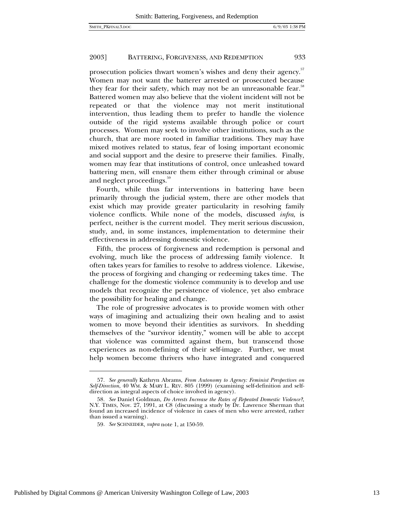prosecution policies thwart women's wishes and deny their agency.<sup>57</sup> Women may not want the batterer arrested or prosecuted because they fear for their safety, which may not be an unreasonable fear.<sup>58</sup> Battered women may also believe that the violent incident will not be repeated or that the violence may not merit institutional intervention, thus leading them to prefer to handle the violence outside of the rigid systems available through police or court processes. Women may seek to involve other institutions, such as the church, that are more rooted in familiar traditions. They may have mixed motives related to status, fear of losing important economic and social support and the desire to preserve their families. Finally, women may fear that institutions of control, once unleashed toward battering men, will ensnare them either through criminal or abuse and neglect proceedings.<sup>59</sup>

Fourth, while thus far interventions in battering have been primarily through the judicial system, there are other models that exist which may provide greater particularity in resolving family violence conflicts. While none of the models, discussed *infra*, is perfect, neither is the current model. They merit serious discussion, study, and, in some instances, implementation to determine their effectiveness in addressing domestic violence.

Fifth, the process of forgiveness and redemption is personal and evolving, much like the process of addressing family violence. It often takes years for families to resolve to address violence. Likewise, the process of forgiving and changing or redeeming takes time. The challenge for the domestic violence community is to develop and use models that recognize the persistence of violence, yet also embrace the possibility for healing and change.

The role of progressive advocates is to provide women with other ways of imagining and actualizing their own healing and to assist women to move beyond their identities as survivors. In shedding themselves of the "survivor identity," women will be able to accept that violence was committed against them, but transcend those experiences as non-defining of their self-image. Further, we must help women become thrivers who have integrated and conquered

<sup>57</sup>*. See generally* Kathryn Abrams, *From Autonomy to Agency: Feminist Perspectives on Self-Direction*, 40 WM. & MARY L. REV. 805 (1999) (examining self-definition and selfdirection as integral aspects of choice involved in agency).

<sup>58</sup>*. See* Daniel Goldman, *Do Arrests Increase the Rates of Repeated Domestic Violence?*, N.Y. TIMES, Nov. 27, 1991, at C8 (discussing a study by Dr. Lawrence Sherman that found an increased incidence of violence in cases of men who were arrested, rather than issued a warning).

<sup>59</sup>*. See* SCHNEIDER, *supra* note 1, at 150-59.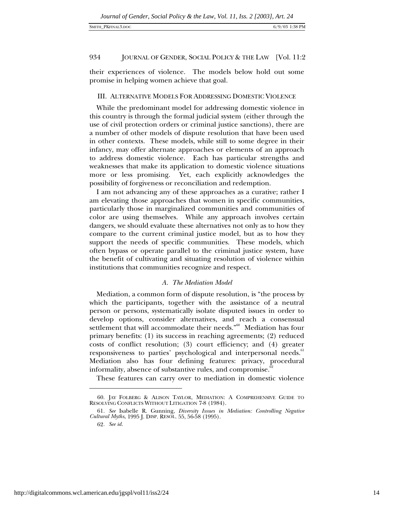their experiences of violence. The models below hold out some promise in helping women achieve that goal.

# III. ALTERNATIVE MODELS FOR ADDRESSING DOMESTIC VIOLENCE

While the predominant model for addressing domestic violence in this country is through the formal judicial system (either through the use of civil protection orders or criminal justice sanctions), there are a number of other models of dispute resolution that have been used in other contexts. These models, while still to some degree in their infancy, may offer alternate approaches or elements of an approach to address domestic violence. Each has particular strengths and weaknesses that make its application to domestic violence situations more or less promising. Yet, each explicitly acknowledges the possibility of forgiveness or reconciliation and redemption.

I am not advancing any of these approaches as a curative; rather I am elevating those approaches that women in specific communities, particularly those in marginalized communities and communities of color are using themselves. While any approach involves certain dangers, we should evaluate these alternatives not only as to how they compare to the current criminal justice model, but as to how they support the needs of specific communities. These models, which often bypass or operate parallel to the criminal justice system, have the benefit of cultivating and situating resolution of violence within institutions that communities recognize and respect.

# *A. The Mediation Model*

Mediation, a common form of dispute resolution, is "the process by which the participants, together with the assistance of a neutral person or persons, systematically isolate disputed issues in order to develop options, consider alternatives, and reach a consensual settlement that will accommodate their needs."<sup>60</sup> Mediation has four primary benefits: (1) its success in reaching agreements; (2) reduced costs of conflict resolution; (3) court efficiency; and (4) greater responsiveness to parties' psychological and interpersonal needs.<sup>61</sup> Mediation also has four defining features: privacy, procedural informality, absence of substantive rules, and compromise.<sup>8</sup>

These features can carry over to mediation in domestic violence

<sup>60.</sup> JAY FOLBERG & ALISON TAYLOR, MEDIATION: A COMPREHENSIVE GUIDE TO RESOLVING CONFLICTS WITHOUT LITIGATION 7-8 (1984).

<sup>61</sup>*. See* Isabelle R. Gunning, *Diversity Issues in Mediation: Controlling Negative Cultural Myths,* 1995 J. DISP. RESOL. 55, 56-58 (1995).

<sup>62</sup>*. See id.*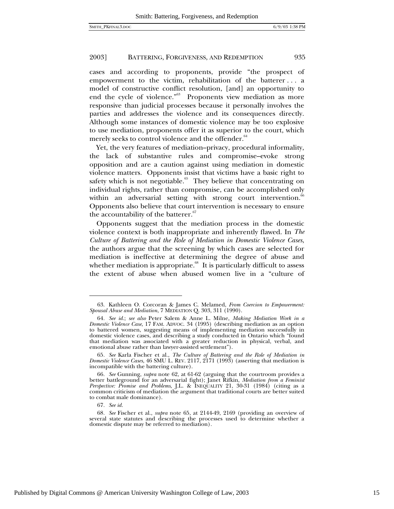cases and according to proponents, provide "the prospect of empowerment to the victim, rehabilitation of the batterer . . . a model of constructive conflict resolution, [and] an opportunity to end the cycle of violence."<sup>63</sup> Proponents view mediation as more responsive than judicial processes because it personally involves the parties and addresses the violence and its consequences directly. Although some instances of domestic violence may be too explosive to use mediation, proponents offer it as superior to the court, which merely seeks to control violence and the offender.<sup>64</sup>

Yet, the very features of mediation–privacy, procedural informality, the lack of substantive rules and compromise–evoke strong opposition and are a caution against using mediation in domestic violence matters. Opponents insist that victims have a basic right to safety which is not negotiable.<sup>65</sup> They believe that concentrating on individual rights, rather than compromise, can be accomplished only within an adversarial setting with strong court intervention.<sup>66</sup> Opponents also believe that court intervention is necessary to ensure the accountability of the batterer.<sup>67</sup>

Opponents suggest that the mediation process in the domestic violence context is both inappropriate and inherently flawed. In *The Culture of Battering and the Role of Mediation in Domestic Violence Cases*, the authors argue that the screening by which cases are selected for mediation is ineffective at determining the degree of abuse and whether mediation is appropriate. $68$  It is particularly difficult to assess the extent of abuse when abused women live in a "culture of

<sup>63.</sup> Kathleen O. Corcoran & James C. Melamed, *From Coercion to Empowerment: Spousal Abuse and Mediation*, 7 MEDIATION Q. 303, 311 (1990).

<sup>64</sup>*. See id.*; *see also* Peter Salem & Anne L. Milne, *Making Mediation Work in a Domestic Violence Case*, 17 FAM. ADVOC. 34 (1995) (describing mediation as an option to battered women, suggesting means of implementing mediation successfully in domestic violence cases, and describing a study conducted in Ontario which "found that mediation was associated with a greater reduction in physical, verbal, and emotional abuse rather than lawyer-assisted settlement").

<sup>65</sup>*. See* Karla Fischer et al., *The Culture of Battering and the Role of Mediation in Domestic Violence Cases*, 46 SMU L. REV. 2117, 2171 (1993) (asserting that mediation is incompatible with the battering culture).

<sup>66</sup>*. See* Gunning, *supra* note 62, at 61-62 (arguing that the courtroom provides a better battleground for an adversarial fight); Janet Rifkin, *Mediation from a Feminist Perspective: Promise and Problems*, J.L. & INEQUALITY 21, 30-31 (1984) (citing as a common criticism of mediation the argument that traditional courts are better suited to combat male dominance).

<sup>67</sup>*. See id.*

<sup>68</sup>*. See* Fischer et al., *supra* note 65, at 2144-49, 2169 (providing an overview of several state statutes and describing the processes used to determine whether a domestic dispute may be referred to mediation)*.*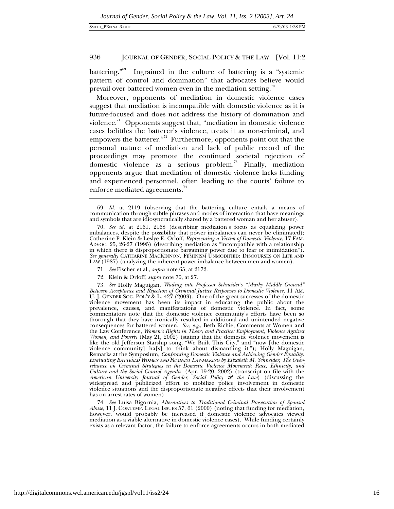-

# 936 JOURNAL OF GENDER, SOCIAL POLICY & THE LAW [Vol. 11:2

battering."<sup>69</sup> Ingrained in the culture of battering is a "systemic pattern of control and domination" that advocates believe would prevail over battered women even in the mediation setting.<sup>70</sup>

Moreover, opponents of mediation in domestic violence cases suggest that mediation is incompatible with domestic violence as it is future-focused and does not address the history of domination and violence.<sup>71</sup> Opponents suggest that, "mediation in domestic violence cases belittles the batterer's violence, treats it as non-criminal, and empowers the batterer."72 Furthermore, opponents point out that the personal nature of mediation and lack of public record of the proceedings may promote the continued societal rejection of domestic violence as a serious problem.<sup>73</sup> Finally, mediation opponents argue that mediation of domestic violence lacks funding and experienced personnel, often leading to the courts' failure to enforce mediated agreements.<sup>74</sup>

- 71*. See* Fischer et al., *supra* note 65, at 2172.
- 72. Klein & Orloff, *supra* note 70, at 27.

73*. See* Holly Maguigan, *Wading into Professor Schneider's "Murky Middle Ground" Between Acceptance and Rejection of Criminal Justice Responses to Domestic Violence*, 11 AM. U. J. GENDER SOC. POL'Y & L.  $42\tilde{7}$  (2003). One of the great successes of the domestic violence movement has been its impact in educating the public about the prevalence, causes, and manifestations of domestic violence. In fact, some commentators note that the domestic violence community's efforts have been so thorough that they have ironically resulted in additional and unintended negative consequences for battered women. *See*, *e.g*., Beth Richie, Comments at Women and the Law Conference, *Women's Rights in Theory and Practice: Employment, Violence Against Women, and Poverty* (May 21, 2002) (stating that the domestic violence movement is like the old Jefferson Starship song, "We Built This City," and "now [the domestic violence community] ha[s] to think about dismantling it."); Holly Maguigan, Remarks at the Symposium, *Confronting Domestic Violence and Achieving Gender Equality: Evaluating BATTERED WOMEN AND FEMINIST LAWMAKING by Elizabeth M. Schneider*, *The Overreliance on Criminal Strategies in the Domestic Violence Movement: Race, Ethnicity, and Culture and the Social Control Agenda* (Apr. 19-20, 2002) (transcript on file with the *American University Journal of Gender, Social Policy & the Law*) (discussing the widespread and publicized effort to mobilize police involvement in domestic violence situations and the disproportionate negative effects that their involvement has on arrest rates of women).

74*. See* Luisa Bigornia, *Alternatives to Traditional Criminal Prosecution of Spousal Abuse,* 11 J. CONTEMP. LEGAL ISSUES 57, 61 (2000) (noting that funding for mediation, however, would probably be increased if domestic violence advocates viewed mediation as a viable alternative in domestic violence cases). While funding certainly exists as a relevant factor, the failure to enforce agreements occurs in both mediated

<sup>69</sup>*. Id.* at 2119 (observing that the battering culture entails a means of communication through subtle phrases and modes of interaction that have meanings and symbols that are idiosyncratically shared by a battered woman and her abuser).

<sup>70</sup>*. See id.* at 2161, 2168 (describing mediation's focus as equalizing power imbalances, despite the possibility that power imbalances can never be eliminated); Catherine F. Klein & Leslye E. Orloff, *Representing a Victim of Domestic Violence*, 17 FAM. ADVOC. 25, 26-27 (1995) (describing mediation as "incompatible with a relationship in which there is disproportionate bargaining power due to fear or intimidation"). *See generally* CATHARINE MACKINNON, FEMINISM UNMODIFIED: DISCOURSES ON LIFE AND LAW (1987) (analyzing the inherent power imbalance between men and women).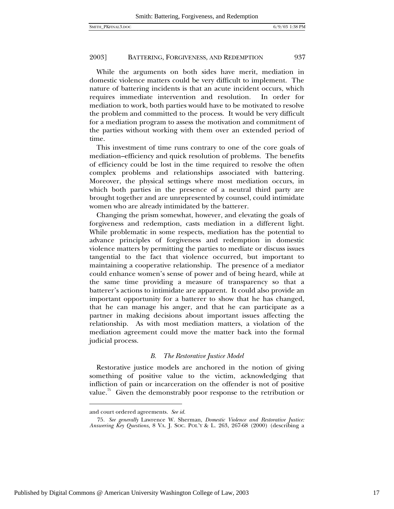While the arguments on both sides have merit, mediation in domestic violence matters could be very difficult to implement. The nature of battering incidents is that an acute incident occurs, which requires immediate intervention and resolution. In order for mediation to work, both parties would have to be motivated to resolve the problem and committed to the process. It would be very difficult for a mediation program to assess the motivation and commitment of the parties without working with them over an extended period of time.

This investment of time runs contrary to one of the core goals of mediation–efficiency and quick resolution of problems. The benefits of efficiency could be lost in the time required to resolve the often complex problems and relationships associated with battering. Moreover, the physical settings where most mediation occurs, in which both parties in the presence of a neutral third party are brought together and are unrepresented by counsel, could intimidate women who are already intimidated by the batterer.

Changing the prism somewhat, however, and elevating the goals of forgiveness and redemption, casts mediation in a different light. While problematic in some respects, mediation has the potential to advance principles of forgiveness and redemption in domestic violence matters by permitting the parties to mediate or discuss issues tangential to the fact that violence occurred, but important to maintaining a cooperative relationship. The presence of a mediator could enhance women's sense of power and of being heard, while at the same time providing a measure of transparency so that a batterer's actions to intimidate are apparent. It could also provide an important opportunity for a batterer to show that he has changed, that he can manage his anger, and that he can participate as a partner in making decisions about important issues affecting the relationship. As with most mediation matters, a violation of the mediation agreement could move the matter back into the formal judicial process.

#### *B. The Restorative Justice Model*

Restorative justice models are anchored in the notion of giving something of positive value to the victim, acknowledging that infliction of pain or incarceration on the offender is not of positive value.<sup>75</sup> Given the demonstrably poor response to the retribution or

and court ordered agreements. *See id.*

<sup>75</sup>*. See generally* Lawrence W. Sherman, *Domestic Violence and Restorative Justice: Answering Key Questions,* 8 VA. J. SOC. POL'Y & L. 263, 267-68 (2000) (describing a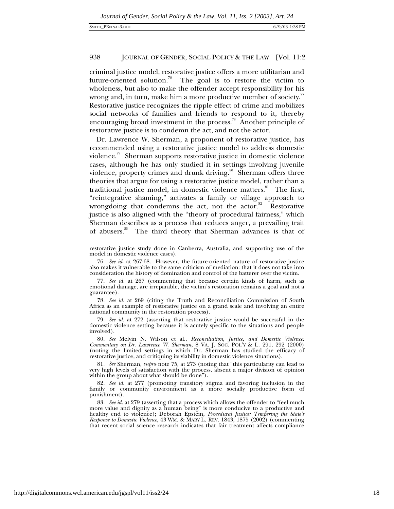criminal justice model, restorative justice offers a more utilitarian and future-oriented solution.<sup>76</sup> The goal is to restore the victim to wholeness, but also to make the offender accept responsibility for his wrong and, in turn, make him a more productive member of society.<sup>11</sup> Restorative justice recognizes the ripple effect of crime and mobilizes social networks of families and friends to respond to it, thereby encouraging broad investment in the process.<sup>78</sup> Another principle of restorative justice is to condemn the act, and not the actor.

Dr. Lawrence W. Sherman, a proponent of restorative justice, has recommended using a restorative justice model to address domestic violence.<sup>79</sup> Sherman supports restorative justice in domestic violence cases, although he has only studied it in settings involving juvenile violence, property crimes and drunk driving.<sup>80</sup> Sherman offers three theories that argue for using a restorative justice model, rather than a traditional justice model, in domestic violence matters.<sup>81</sup> The first, "reintegrative shaming," activates a family or village approach to wrongdoing that condemns the act, not the actor.<sup>82</sup> Restorative justice is also aligned with the "theory of procedural fairness," which Sherman describes as a process that reduces anger, a prevailing trait of abusers.<sup>83</sup> The third theory that Sherman advances is that of

79*. See id.* at 272 (asserting that restorative justice would be successful in the domestic violence setting because it is acutely specific to the situations and people involved).

80*. See* Melvin N. Wilson et al., *Reconciliation, Justice, and Domestic Violence: Commentary on Dr. Lawrence W. Sherman*, 8 VA. J. SOC. POL'Y & L. 291, 292 (2000) (noting the limited settings in which Dr. Sherman has studied the efficacy of restorative justice, and critiquing its viability in domestic violence situations).

restorative justice study done in Canberra, Australia, and supporting use of the model in domestic violence cases).

<sup>76</sup>*. See id.* at 267-68. However, the future-oriented nature of restorative justice also makes it vulnerable to the same criticism of mediation: that it does not take into consideration the history of domination and control of the batterer over the victim.

<sup>77</sup>*. See id.* at 267 (commenting that because certain kinds of harm, such as emotional damage, are irreparable, the victim's restoration remains a goal and not a guarantee).

<sup>78</sup>*. See id.* at 269 (citing the Truth and Reconciliation Commission of South Africa as an example of restorative justice on a grand scale and involving an entire national community in the restoration process).

<sup>81</sup>*. See* Sherman, *supra* note 75, at 273 (noting that "this particularity can lead to very high levels of satisfaction with the process, absent a major division of opinion within the group about what should be done").

<sup>82</sup>*. See id.* at 277 (promoting transitory stigma and favoring inclusion in the family or community environment as a more socially productive form of punishment).

<sup>83</sup>*. See id.* at 279 (asserting that a process which allows the offender to "feel much more value and dignity as a human being" is more conducive to a productive and healthy end to violence); Deborah Epstein, *Procedural Justice: Tempering the State's Response to Domestic Violence*, 43 WM. & MARY L. REV. 1843, 1875 (2002) (commenting that recent social science research indicates that fair treatment affects compliance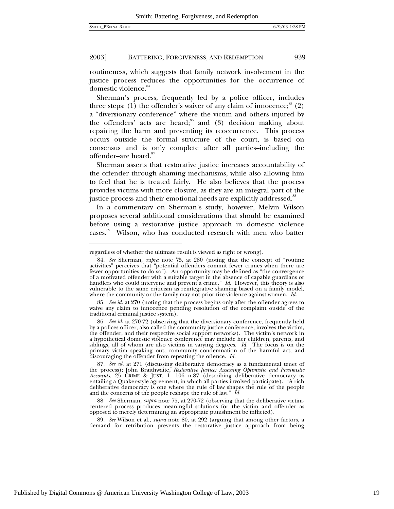$\overline{a}$ 

#### 2003] BATTERING, FORGIVENESS, AND REDEMPTION 939

routineness, which suggests that family network involvement in the justice process reduces the opportunities for the occurrence of domestic violence.<sup>84</sup>

Sherman's process, frequently led by a police officer, includes three steps: (1) the offender's waiver of any claim of innocence;  $(2)$ a "diversionary conference" where the victim and others injured by the offenders' acts are heard;<sup>86</sup> and (3) decision making about repairing the harm and preventing its reoccurrence. This process occurs outside the formal structure of the court, is based on consensus and is only complete after all parties–including the offender–are heard.<sup>87</sup>

Sherman asserts that restorative justice increases accountability of the offender through shaming mechanisms, while also allowing him to feel that he is treated fairly. He also believes that the process provides victims with more closure, as they are an integral part of the justice process and their emotional needs are explicitly addressed.<sup>88</sup>

In a commentary on Sherman's study, however, Melvin Wilson proposes several additional considerations that should be examined before using a restorative justice approach in domestic violence cases.<sup>89</sup> Wilson, who has conducted research with men who batter

89*. See* Wilson et al., *supra* note 80, at 292 (arguing that among other factors, a demand for retribution prevents the restorative justice approach from being

regardless of whether the ultimate result is viewed as right or wrong).

<sup>84</sup>*. See* Sherman, *supra* note 75, at 280 (noting that the concept of "routine activities" perceives that "potential offenders commit fewer crimes when there are fewer opportunities to do so"). An opportunity may be defined as "the convergence of a motivated offender with a suitable target in the absence of capable guardians or handlers who could intervene and prevent a crime." *Id.* However, this theory is also vulnerable to the same criticism as reintegrative shaming based on a family model, where the community or the family may not prioritize violence against women. *Id.*

<sup>85</sup>*. See id.* at 270 (noting that the process begins only after the offender agrees to waive any claim to innocence pending resolution of the complaint ouside of the traditional criminal justice system).

<sup>86</sup>*. See id.* at 270-72 (observing that the diversionary conference, frequently held by a polices officer, also called the community justice conference, involves the victim, the offender, and their respective social support networks). The victim's network in a hypothetical domestic violence conference may include her children, parents, and siblings, all of whom are also victims in varying degrees. *Id.* The focus is on the primary victim speaking out, community condemnation of the harmful act, and discouraging the offender from repeating the offence. *Id.*

<sup>87</sup>*. See id.* at 271 (discussing deliberative democracy as a fundamental tenet of the process); John Braithwaite, *Restorative Justice: Assessing Optimistic and Pessimistic Accounts*, 25 CRIME & JUST. 1, 106 n.87 (describing deliberative democracy as entailing a Quaker-style agreement, in which all parties involved participate). "A rich deliberative democracy is one where the rule of law shapes the rule of the people and the concerns of the people reshape the rule of law." *Id.*

<sup>88</sup>*. See* Sherman, *supra* note 75, at 270-72 (observing that the deliberative victimcentered process produces meaningful solutions for the victim and offender as opposed to merely determining an appropriate punishment be inflicted).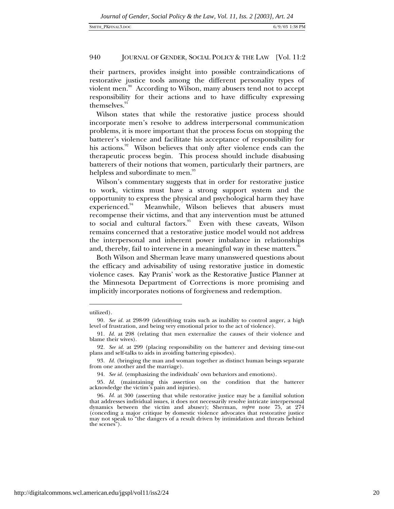their partners, provides insight into possible contraindications of restorative justice tools among the different personality types of violent men.<sup>90</sup> According to Wilson, many abusers tend not to accept responsibility for their actions and to have difficulty expressing themselves.<sup>91</sup>

Wilson states that while the restorative justice process should incorporate men's resolve to address interpersonal communication problems, it is more important that the process focus on stopping the batterer's violence and facilitate his acceptance of responsibility for his actions.<sup>92</sup> Wilson believes that only after violence ends can the therapeutic process begin. This process should include disabusing batterers of their notions that women, particularly their partners, are helpless and subordinate to men.<sup>93</sup>

Wilson's commentary suggests that in order for restorative justice to work, victims must have a strong support system and the opportunity to express the physical and psychological harm they have experienced.<sup>94</sup> Meanwhile, Wilson believes that abusers must recompense their victims, and that any intervention must be attuned to social and cultural factors.<sup>95</sup> Even with these caveats, Wilson remains concerned that a restorative justice model would not address the interpersonal and inherent power imbalance in relationships and, thereby, fail to intervene in a meaningful way in these matters.<sup>96</sup>

Both Wilson and Sherman leave many unanswered questions about the efficacy and advisability of using restorative justice in domestic violence cases. Kay Pranis' work as the Restorative Justice Planner at the Minnesota Department of Corrections is more promising and implicitly incorporates notions of forgiveness and redemption.

1

utilized).

<sup>90</sup>*. See id.* at 298-99 (identifying traits such as inability to control anger, a high level of frustration, and being very emotional prior to the act of violence).

<sup>91</sup>*. Id.* at 298 (relating that men externalize the causes of their violence and blame their wives).

<sup>92</sup>*. See id.* at 299 (placing responsibility on the batterer and devising time-out plans and self-talks to aids in avoiding battering episodes).

<sup>93</sup>*. Id.* (bringing the man and woman together as distinct human beings separate from one another and the marriage).

<sup>94</sup>*. See id.* (emphasizing the individuals' own behaviors and emotions).

<sup>95</sup>*. Id.* (maintaining this assertion on the condition that the batterer acknowledge the victim's pain and injuries).

<sup>96</sup>*. Id.* at 300 (asserting that while restorative justice may be a familial solution that addresses individual issues, it does not necessarily resolve intricate interpersonal dynamics between the victim and abuser); Sherman, *supra* note 75, at 274 (conceding a major critique by domestic violence advocates that restorative justice may not speak to "the dangers of a result driven by intimidation and threats behind the scenes").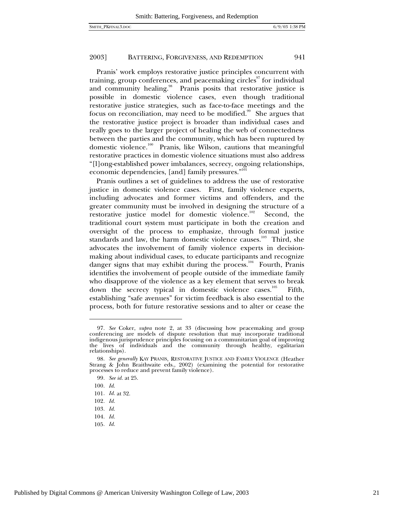Pranis' work employs restorative justice principles concurrent with training, group conferences, and peacemaking circles $\sigma$  for individual and community healing.<sup>98</sup> Pranis posits that restorative justice is possible in domestic violence cases, even though traditional restorative justice strategies, such as face-to-face meetings and the focus on reconciliation, may need to be modified.<sup>99</sup> She argues that the restorative justice project is broader than individual cases and really goes to the larger project of healing the web of connectedness between the parties and the community, which has been ruptured by domestic violence.<sup>100</sup> Pranis, like Wilson, cautions that meaningful restorative practices in domestic violence situations must also address "[l]ong-established power imbalances, secrecy, ongoing relationships, economic dependencies, [and] family pressures."<sup>101</sup>

Pranis outlines a set of guidelines to address the use of restorative justice in domestic violence cases. First, family violence experts, including advocates and former victims and offenders, and the greater community must be involved in designing the structure of a restorative justice model for domestic violence.<sup>102</sup> Second, the traditional court system must participate in both the creation and oversight of the process to emphasize, through formal justice standards and law, the harm domestic violence causes.<sup>103</sup> Third, she advocates the involvement of family violence experts in decisionmaking about individual cases, to educate participants and recognize danger signs that may exhibit during the process.<sup>104</sup> Fourth, Pranis identifies the involvement of people outside of the immediate family who disapprove of the violence as a key element that serves to break down the secrecy typical in domestic violence cases.<sup>105</sup> Fifth, establishing "safe avenues" for victim feedback is also essential to the process, both for future restorative sessions and to alter or cease the

 $\overline{a}$ 

105*. Id.*

<sup>97</sup>*. See* Coker, *supra* note 2, at 33 (discussing how peacemaking and group conferencing are models of dispute resolution that may incorporate traditional indigenous jurisprudence principles focusing on a communitarian goal of improving the lives of individuals and the community through healthy, egalitarian relationships).

<sup>98</sup>*. See generally* KAY PRANIS, RESTORATIVE JUSTICE AND FAMILY VIOLENCE (Heather Strang & John Braithwaite eds., 2002) (examining the potential for restorative processes to reduce and prevent family violence).

<sup>99</sup>*. See id.* at 25.

<sup>100</sup>*. Id*.

<sup>101</sup>*. Id.* at 32.

<sup>102</sup>*. Id.*

<sup>103</sup>*. Id.*

<sup>104</sup>*. Id.*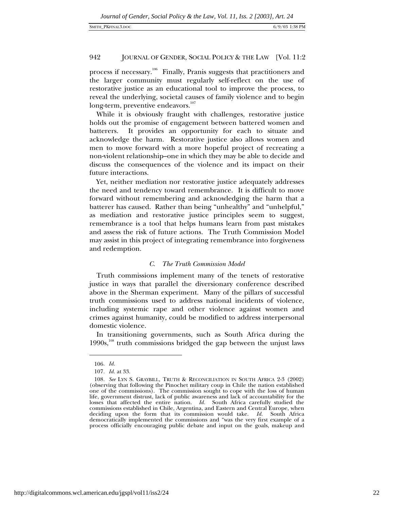process if necessary.106 Finally, Pranis suggests that practitioners and the larger community must regularly self-reflect on the use of restorative justice as an educational tool to improve the process, to reveal the underlying, societal causes of family violence and to begin long-term, preventive endeavors.<sup>107</sup>

While it is obviously fraught with challenges, restorative justice holds out the promise of engagement between battered women and batterers. It provides an opportunity for each to situate and acknowledge the harm. Restorative justice also allows women and men to move forward with a more hopeful project of recreating a non-violent relationship–one in which they may be able to decide and discuss the consequences of the violence and its impact on their future interactions.

Yet, neither mediation nor restorative justice adequately addresses the need and tendency toward remembrance. It is difficult to move forward without remembering and acknowledging the harm that a batterer has caused. Rather than being "unhealthy" and "unhelpful," as mediation and restorative justice principles seem to suggest, remembrance is a tool that helps humans learn from past mistakes and assess the risk of future actions. The Truth Commission Model may assist in this project of integrating remembrance into forgiveness and redemption.

# *C. The Truth Commission Model*

Truth commissions implement many of the tenets of restorative justice in ways that parallel the diversionary conference described above in the Sherman experiment. Many of the pillars of successful truth commissions used to address national incidents of violence, including systemic rape and other violence against women and crimes against humanity, could be modified to address interpersonal domestic violence.

In transitioning governments, such as South Africa during the  $1990s$ ,<sup>108</sup> truth commissions bridged the gap between the unjust laws

-

<sup>106</sup>*. Id.*

<sup>107</sup>*. Id.* at 33.

<sup>108</sup>*. See* LYN S. GRAYBILL, TRUTH & RECONCILIATION IN SOUTH AFRICA 2-3 (2002) (observing that following the Pinochet military coup in Chile the nation established one of the commissions). The commission sought to cope with the loss of human life, government distrust, lack of public awareness and lack of accountability for the losses that affected the entire nation. *Id.* South Africa carefully studied the commissions established in Chile, Argentina, and Eastern and Central Europe, when deciding upon the form that its commission would take. *Id.* South Africa democratically implemented the commissions and "was the very first example of a process officially encouraging public debate and input on the goals, makeup and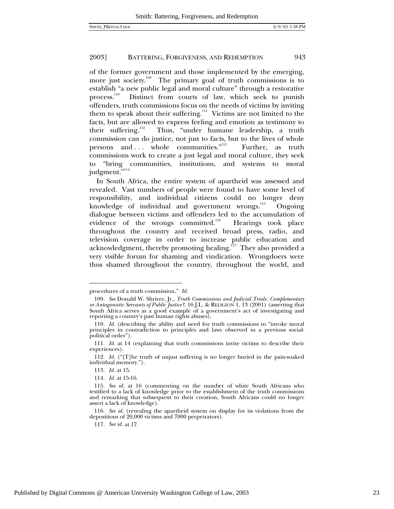of the former government and those implemented by the emerging, more just society.<sup>109</sup> The primary goal of truth commissions is to establish "a new public legal and moral culture" through a restorative process.<sup>110</sup> Distinct from courts of law, which seek to punish offenders, truth commissions focus on the needs of victims by inviting them to speak about their suffering.<sup>111</sup> Victims are not limited to the facts, but are allowed to express feeling and emotion as testimony to their suffering.<sup>112</sup> Thus, "under humane leadership, a truth commission can do justice, not just to facts, but to the lives of whole persons and ... whole communities."<sup>113</sup> Further, as truth commissions work to create a just legal and moral culture, they seek to "bring communities, institutions, and systems to moral judgment."<sup>3,114</sup>

In South Africa, the entire system of apartheid was assessed and revealed. Vast numbers of people were found to have some level of responsibility, and individual citizens could no longer deny knowledge of individual and government wrongs.<sup>115</sup> Ongoing dialogue between victims and offenders led to the accumulation of evidence of the wrongs committed.<sup>116</sup> Hearings took place throughout the country and received broad press, radio, and television coverage in order to increase public education and acknowledgment, thereby promoting healing.<sup> $17$ </sup> They also provided a very visible forum for shaming and vindication. Wrongdoers were thus shamed throughout the country, throughout the world, and

1

117*. See id.* at 17.

procedures of a truth commission." *Id.*

<sup>109</sup>*. See* Donald W. Shriver, Jr., *Truth Commissions and Judicial Trials: Complementary or Antagonistic Servants of Public Justice?*, 16 J.L. & RELIGION 1, 13 (2001) (asserting that South Africa serves as a good example of a government's act of investigating and reporting a country's past human rights abuses).

<sup>110</sup>*. Id.* (describing the ability and need for truth commissions to "invoke moral principles in contradiction to principles and laws observed in a previous socialpolitical order").

<sup>111</sup>*. Id.* at 14 (explaining that truth commissions invite victims to describe their experiences).

<sup>112</sup>*. Id.* ("[T]he truth of unjust suffering is no longer buried in the pain-soaked individual memory.").

<sup>113</sup>*. Id.* at 15.

<sup>114</sup>*. Id.* at 15-16.

<sup>115</sup>*. See id.* at 16 (commenting on the number of white South Africans who testified to a lack of knowledge prior to the establishment of the truth commissions and remarking that subsequent to their creation, South Africans could no longer assert a lack of knowledge).

<sup>116</sup>*. See id.* (revealing the apartheid system on display for its violations from the depositions of 20,000 victims and 7000 perpetrators).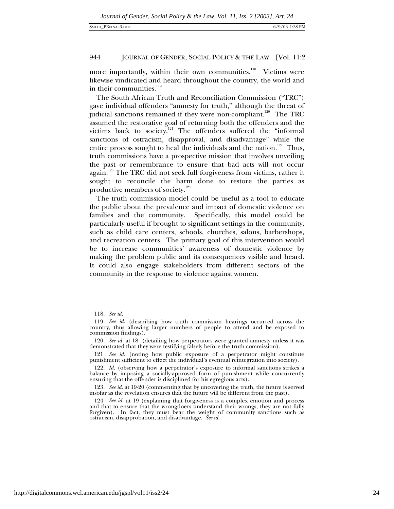more importantly, within their own communities.<sup>118</sup> Victims were likewise vindicated and heard throughout the country, the world and in their communities. $119$ 

The South African Truth and Reconciliation Commission ("TRC") gave individual offenders "amnesty for truth," although the threat of judicial sanctions remained if they were non-compliant.<sup>120</sup> The TRC assumed the restorative goal of returning both the offenders and the victims back to society.<sup>121</sup> The offenders suffered the "informal sanctions of ostracism, disapproval, and disadvantage" while the entire process sought to heal the individuals and the nation.<sup>122</sup> Thus, truth commissions have a prospective mission that involves unveiling the past or remembrance to ensure that bad acts will not occur again.<sup>123</sup> The TRC did not seek full forgiveness from victims, rather it sought to reconcile the harm done to restore the parties as productive members of society.<sup>124</sup>

The truth commission model could be useful as a tool to educate the public about the prevalence and impact of domestic violence on families and the community. Specifically, this model could be particularly useful if brought to significant settings in the community, such as child care centers, schools, churches, salons, barbershops, and recreation centers. The primary goal of this intervention would be to increase communities' awareness of domestic violence by making the problem public and its consequences visible and heard. It could also engage stakeholders from different sectors of the community in the response to violence against women.

-

<sup>118</sup>*. See id.*

<sup>119</sup>*. See id.* (describing how truth commission hearings occurred across the country, thus allowing larger numbers of people to attend and be exposed to commission findings).

<sup>120</sup>*. See id.* at 18 (detailing how perpetrators were granted amnesty unless it was demonstrated that they were testifying falsely before the truth commission).

<sup>121</sup>*. See id.* (noting how public exposure of a perpetrator might constitute punishment sufficient to effect the individual's eventual reintegration into society).

<sup>122</sup>*. Id.* (observing how a perpetrator's exposure to informal sanctions strikes a balance by imposing a socially-approved form of punishment while concurrently ensuring that the offender is disciplined for his egregious acts).

<sup>123</sup>*. See id.* at 19-20 (commenting that by uncovering the truth, the future is served insofar as the revelation ensures that the future will be different from the past).

<sup>124</sup>*. See id.* at 19 (explaining that forgiveness is a complex emotion and process and that to ensure that the wrongdoers understand their wrongs, they are not fully forgiven). In fact, they must bear the weight of community sanctions such as ostracism, disapprobation, and disadvantage. *See id.*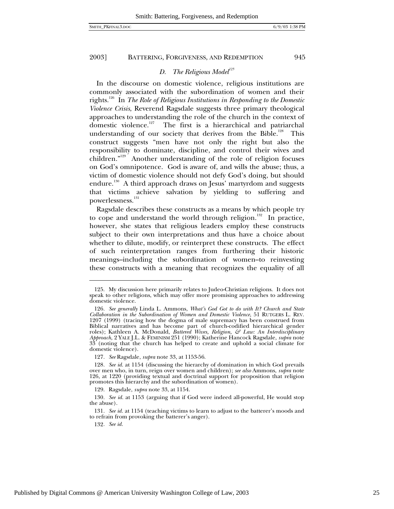# *D. The Religious Model<sup>125</sup>*

In the discourse on domestic violence, religious institutions are commonly associated with the subordination of women and their rights.126 In *The Role of Religious Institutions in Responding to the Domestic Violence Crisis*, Reverend Ragsdale suggests three primary theological approaches to understanding the role of the church in the context of domestic violence.<sup>127</sup> The first is a hierarchical and patriarchal understanding of our society that derives from the Bible.<sup>128</sup> This construct suggests "men have not only the right but also the responsibility to dominate, discipline, and control their wives and children."129 Another understanding of the role of religion focuses on God's omnipotence. God is aware of, and wills the abuse; thus, a victim of domestic violence should not defy God's doing, but should endure.<sup>130</sup> A third approach draws on Jesus' martyrdom and suggests that victims achieve salvation by yielding to suffering and powerlessness.<sup>131</sup>

Ragsdale describes these constructs as a means by which people try to cope and understand the world through religion.<sup>132</sup> In practice, however, she states that religious leaders employ these constructs subject to their own interpretations and thus have a choice about whether to dilute, modify, or reinterpret these constructs. The effect of such reinterpretation ranges from furthering their historic meanings–including the subordination of women–to reinvesting these constructs with a meaning that recognizes the equality of all

<sup>125.</sup> My discussion here primarily relates to Judeo-Christian religions. It does not speak to other religions, which may offer more promising approaches to addressing domestic violence.

<sup>126</sup>*. See generally* Linda L. Ammons, *What's God Got to do with It? Church and State Collaboration in the Subordination of Women and Domestic Violence*, 51 RUTGERS L. REV. 1207 (1999) (tracing how the dogma of male supremacy has been construed from Biblical narratives and has become part of church-codified hierarchical gender roles); Kathleen A. McDonald, *Battered Wives, Religion, & Law: An Interdisciplinary Approach,* 2 YALE J.L. & FEMINISM 251 (1990); Katherine Hancock Ragsdale, *supra* note  $33<sup>1</sup>$  (noting that the church has helped to create and uphold a social climate for domestic violence).

<sup>127</sup>*. See* Ragsdale, *supra* note 33, at 1153-56.

<sup>128</sup>*. See id.* at 1154 (discussing the hierarchy of domination in which God prevails over men who, in turn, reign over women and children); *see also* Ammons, *supra* note 126, at 1220 (providing textual and doctrinal support for proposition that religion promotes this hierarchy and the subordination of women).

<sup>129.</sup> Ragsdale, *supra* note 33, at 1154.

<sup>130</sup>*. See id.* at 1153 (arguing that if God were indeed all-powerful, He would stop the abuse).

<sup>131</sup>*. See id.* at 1154 (teaching victims to learn to adjust to the batterer's moods and to refrain from provoking the batterer's anger).

<sup>132</sup>*. See id.*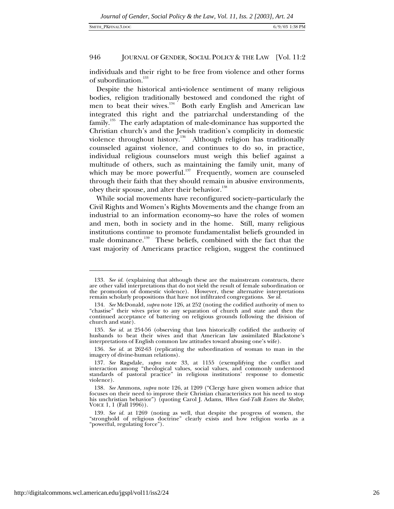individuals and their right to be free from violence and other forms of subordination.<sup>133</sup>

Despite the historical anti-violence sentiment of many religious bodies, religion traditionally bestowed and condoned the right of men to beat their wives. $134 \times 150$  Both early English and American law integrated this right and the patriarchal understanding of the family.<sup>135</sup> The early adaptation of male-dominance has supported the Christian church's and the Jewish tradition's complicity in domestic violence throughout history.136 Although religion has traditionally counseled against violence, and continues to do so, in practice, individual religious counselors must weigh this belief against a multitude of others, such as maintaining the family unit, many of which may be more powerful.<sup>137</sup> Frequently, women are counseled through their faith that they should remain in abusive environments, obey their spouse, and alter their behavior.<sup>138</sup>

While social movements have reconfigured society–particularly the Civil Rights and Women's Rights Movements and the change from an industrial to an information economy–so have the roles of women and men, both in society and in the home. Still, many religious institutions continue to promote fundamentalist beliefs grounded in male dominance.<sup>139</sup> These beliefs, combined with the fact that the vast majority of Americans practice religion, suggest the continued

<sup>133</sup>*. See id.* (explaining that although these are the mainstream constructs, there are other valid interpretations that do not yield the result of female subordination or the promotion of domestic violence). However, these alternative interpretations remain scholarly propositions that have not infiltrated congregations. *See id.*

<sup>134</sup>*. See* McDonald, *supra* note 126, at 252 (noting the codified authority of men to "chastise" their wives prior to any separation of church and state and then the continued acceptance of battering on religious grounds following the division of church and state).

<sup>135</sup>*. See id.* at 254-56 (observing that laws historically codified the authority of husbands to beat their wives and that American law assimilated Blackstone's interpretations of English common law attitudes toward abusing one's wife).

<sup>136</sup>*. See id.* at 262-63 (replicating the subordination of woman to man in the imagery of divine-human relations).

<sup>137</sup>*. See* Ragsdale, *supra* note 33, at 1155 (exemplifying the conflict and interaction among "theological values, social values, and commonly understood standards of pastoral practice" in religious institutions' response to domestic violence).

<sup>138</sup>*. See* Ammons, *supra* note 126, at 1209 ("Clergy have given women advice that focuses on their need to improve their Christian characteristics not his need to stop his unchristian behavior") (quoting Carol J. Adams, *When God-Talk Enters the Shelter*, VOICE 1, 1 (Fall 1996)).

<sup>139</sup>*. See id.* at 1269 (noting as well, that despite the progress of women, the "stronghold of religious doctrine" clearly exists and how religion works as a "powerful, regulating force").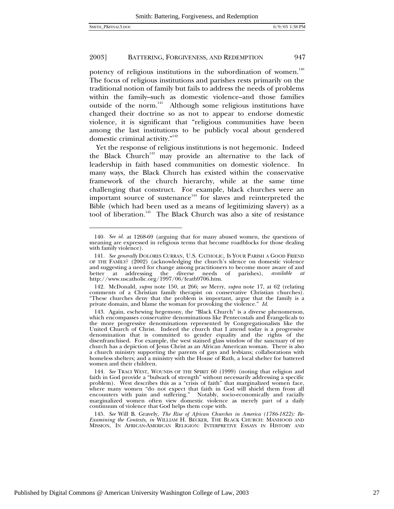-

#### 2003] BATTERING, FORGIVENESS, AND REDEMPTION 947

potency of religious institutions in the subordination of women.<sup>140</sup> The focus of religious institutions and parishes rests primarily on the traditional notion of family but fails to address the needs of problems within the family–such as domestic violence–and those families outside of the norm.<sup>141</sup> Although some religious institutions have changed their doctrine so as not to appear to endorse domestic violence, it is significant that "religious communities have been among the last institutions to be publicly vocal about gendered domestic criminal activity."142

Yet the response of religious institutions is not hegemonic. Indeed the Black Church<sup>143</sup> may provide an alternative to the lack of leadership in faith based communities on domestic violence. In many ways, the Black Church has existed within the conservative framework of the church hierarchy, while at the same time challenging that construct. For example, black churches were an important source of sustenance<sup>144</sup> for slaves and reinterpreted the Bible (which had been used as a means of legitimizing slavery) as a tool of liberation.<sup>145</sup> The Black Church was also a site of resistance

<sup>140</sup>*. See id.* at 1268-69 (arguing that for many abused women, the questions of meaning are expressed in religious terms that become roadblocks for those dealing with family violence).

<sup>141</sup>*. See generally* DOLORES CURRAN, U.S. CATHOLIC, IS YOUR PARISH A GOOD FRIEND OF THE FAMILY? (2002) (acknowledging the church's silence on domestic violence and suggesting a need for change among practitioners to become more aware of and better at addressing the diverse needs of parishes), *available at* http://www.uscatholic.org/1997/06/featb9706.htm.

<sup>142.</sup> McDonald, *supra* note 150, at 266; *see* Merry, *supra* note 17, at 62 (relating comments of a Christian family therapist on conservative Christian churches). "These churches deny that the problem is important, argue that the family is a private domain, and blame the woman for provoking the violence." *Id.*

<sup>143.</sup> Again, eschewing hegemony, the "Black Church" is a diverse phenomenon, which encompasses conservative denominations like Pentecostals and Evangelicals to the more progressive denominations represented by Congregationalists like the United Church of Christ. Indeed the church that I attend today is a progressive denomination that is committed to gender equality and the rights of the disenfranchised. For example, the west stained glass window of the sanctuary of my church has a depiction of Jesus Christ as an African American woman. There is also a church ministry supporting the parents of gays and lesbians; collaborations with homeless shelters; and a ministry with the House of Ruth, a local shelter for battered women and their children.

<sup>144</sup>*. See* TRACI WEST, WOUNDS OF THE SPIRIT 60 (1999) (noting that religion and faith in God provide a "bulwark of strength" without necessarily addressing a specific problem). West describes this as a "crisis of faith" that marginalized women face, where many women "do not expect that faith in God will shield them from all encounters with pain and suffering." Notably, socio-economically and racially marginalized women often view domestic violence as merely part of a daily continuum of violence that God helps them cope with.

<sup>145</sup>*. See* Will B. Gravely, *The Rise of African Churches in America (1786-1822): Re-Examining the Contexts*, *in* WILLIAM H. BECKER, THE BLACK CHURCH: MANHOOD AND MISSION, IN AFRICAN-AMERICAN RELIGION: INTERPRETIVE ESSAYS IN HISTORY AND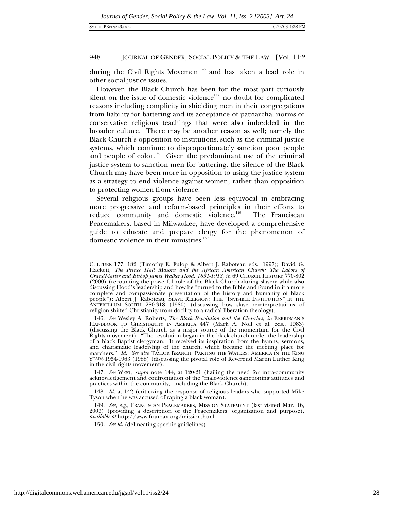during the Civil Rights Movement<sup>146</sup> and has taken a lead role in other social justice issues.

However, the Black Church has been for the most part curiously silent on the issue of domestic violence<sup> $147$ </sup>–no doubt for complicated reasons including complicity in shielding men in their congregations from liability for battering and its acceptance of patriarchal norms of conservative religious teachings that were also imbedded in the broader culture. There may be another reason as well; namely the Black Church's opposition to institutions, such as the criminal justice systems, which continue to disproportionately sanction poor people and people of color.<sup>148</sup> Given the predominant use of the criminal justice system to sanction men for battering, the silence of the Black Church may have been more in opposition to using the justice system as a strategy to end violence against women, rather than opposition to protecting women from violence.

Several religious groups have been less equivocal in embracing more progressive and reform-based principles in their efforts to reduce community and domestic violence.<sup>149</sup> The Franciscan Peacemakers, based in Milwaukee, have developed a comprehensive guide to educate and prepare clergy for the phenomenon of domestic violence in their ministries.<sup>150</sup>

1

CULTURE 177, 182 (Timothy E. Fulop & Albert J. Raboteau eds., 1997); David G. Hackett, *The Prince Hall Masons and the African American Church: The Labors of GrandMaster and Bishop James Walker Hood, 1831-1918*, *in* 69 CHURCH HISTORY 770-802 (2000) (recounting the powerful role of the Black Church during slavery while also discussing Hood's leadership and how he "turned to the Bible and found in it a more complete and compassionate presentation of the history and humanity of black people"); Albert J. Raboteau, SLAVE RELIGION: THE "INVISIBLE INSTITUTION" IN THE ANTEBELLUM SOUTH 280-318 (1980) (discussing how slave reinterpretations of religion shifted Christianity from docility to a radical liberation theology).

<sup>146</sup>*. See* Wesley A. Roberts, *The Black Revolution and the Churches*, *in* EERRDMAN'S HANDBOOK TO CHRISTIANITY IN AMERICA 447 (Mark A. Noll et al. eds., 1983) (discussing the Black Church as a major source of the momentum for the Civil Rights movement). "The revolution began in the black church under the leadership of a black Baptist clergyman. It received its inspiration from the hymns, sermons, and charismatic leadership of the church, which became the meeting place for marchers." *Id. See also* TAYLOR BRANCH, PARTING THE WATERS: AMERICA IN THE KING YEARS 1954-1963 (1988) (discussing the pivotal role of Reverend Martin Luther King in the civil rights movement).

<sup>147</sup>*. See* WEST, *supra* note 144, at 120-21 (hailing the need for intra-community acknowledgement and confrontation of the "male-violence-sanctioning attitudes and practices within the community," including the Black Church).

<sup>148</sup>*. Id.* at 142 (criticizing the response of religious leaders who supported Mike Tyson when he was accused of raping a black woman).

<sup>149</sup>*. See*, *e.g.*, FRANCISCAN PEACEMAKERS, MISSION STATEMENT (last visited Mar. 16, 2003) (providing a description of the Peacemakers' organization and purpose), *available at* http://www.franpax.org/mission.html.

<sup>150</sup>*. See id.* (delineating specific guidelines).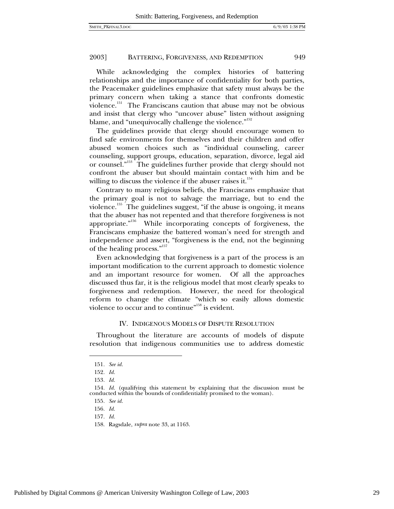While acknowledging the complex histories of battering relationships and the importance of confidentiality for both parties, the Peacemaker guidelines emphasize that safety must always be the primary concern when taking a stance that confronts domestic violence.<sup>151</sup> The Franciscans caution that abuse may not be obvious and insist that clergy who "uncover abuse" listen without assigning blame, and "unequivocally challenge the violence."<sup>152</sup>

The guidelines provide that clergy should encourage women to find safe environments for themselves and their children and offer abused women choices such as "individual counseling, career counseling, support groups, education, separation, divorce, legal aid or counsel."<sup>153</sup> The guidelines further provide that clergy should not confront the abuser but should maintain contact with him and be willing to discuss the violence if the abuser raises it.<sup>154</sup>

Contrary to many religious beliefs, the Franciscans emphasize that the primary goal is not to salvage the marriage, but to end the violence.<sup>155</sup> The guidelines suggest, "if the abuse is ongoing, it means that the abuser has not repented and that therefore forgiveness is not appropriate."<sup>156</sup> While incorporating concepts of forgiveness, the Franciscans emphasize the battered woman's need for strength and independence and assert, "forgiveness is the end, not the beginning of the healing process."157

Even acknowledging that forgiveness is a part of the process is an important modification to the current approach to domestic violence and an important resource for women. Of all the approaches discussed thus far, it is the religious model that most clearly speaks to forgiveness and redemption. However, the need for theological reform to change the climate "which so easily allows domestic violence to occur and to continue"<sup>158</sup> is evident.

#### IV. INDIGENOUS MODELS OF DISPUTE RESOLUTION

Throughout the literature are accounts of models of dispute resolution that indigenous communities use to address domestic

<sup>151</sup>*. See id.*

<sup>152</sup>*. Id.*

<sup>153</sup>*. Id.*

<sup>154</sup>*. Id.* (qualifying this statement by explaining that the discussion must be conducted within the bounds of confidentiality promised to the woman).

<sup>155</sup>*. See id.*

<sup>156</sup>*. Id.*

<sup>157</sup>*. Id.*

<sup>158.</sup> Ragsdale, *supra* note 33, at 1163.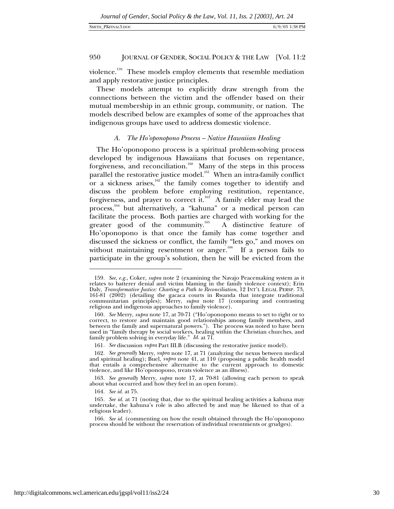#### SMITH\_PKFINAL3.DOC 6/9/03 1:38 PM

# 950 JOURNAL OF GENDER, SOCIAL POLICY & THE LAW [Vol. 11:2

violence.<sup>159</sup> These models employ elements that resemble mediation and apply restorative justice principles.

These models attempt to explicitly draw strength from the connections between the victim and the offender based on their mutual membership in an ethnic group, community, or nation. The models described below are examples of some of the approaches that indigenous groups have used to address domestic violence.

# *A. The Ho'oponopono Process – Native Hawaiian Healing*

The Ho'oponopono process is a spiritual problem-solving process developed by indigenous Hawaiians that focuses on repentance, forgiveness, and reconciliation.<sup>160</sup> Many of the steps in this process parallel the restorative justice model.<sup>161</sup> When an intra-family conflict or a sickness arises, $162$  the family comes together to identify and discuss the problem before employing restitution, repentance, forgiveness, and prayer to correct it.<sup>163</sup> A family elder may lead the process,<sup>164</sup> but alternatively, a "kahuna" or a medical person can facilitate the process. Both parties are charged with working for the greater good of the community.<sup>165</sup> A distinctive feature of Ho'oponopono is that once the family has come together and discussed the sickness or conflict, the family "lets go," and moves on without maintaining resentment or anger.<sup>166</sup> If a person fails to participate in the group's solution, then he will be evicted from the

<sup>159</sup>*. See, e.g.*, Coker, *supra* note 2 (examining the Navajo Peacemaking system as it relates to batterer denial and victim blaming in the family violence context); Erin Daly, *Transformative Justice: Charting a Path to Reconciliation*, 12 INT'L LEGAL PERSP. 73, 161-81 (2002) (detailing the gacaca courts in Rwanda that integrate traditional communitarian principles); Merry, *supra* note 17 (comparing and contrasting religious and indigenous approaches to family violence).

<sup>160</sup>*. See* Merry, *supra* note 17, at 70-71 ("Ho'oponopono means to set to right or to correct, to restore and maintain good relationships among family members, and between the family and supernatural powers."). The process was noted to have been used in "family therapy by social workers, healing within the Christian churches, and family problem solving in everyday life." *Id.* at 71.

<sup>161</sup>*. See* discussion *supra* Part III.B (discussing the restorative justice model).

<sup>162</sup>*. See generally* Merry, *supra* note 17, at 71 (analyzing the nexus between medical and spiritual healing); Buel, *supra* note 41, at 110 (proposing a public health model that entails a comprehensive alternative to the current approach to domestic violence, and like Ho'oponopono, treats violence as an illness).

<sup>163</sup>*. See generally* Merry, *supra* note 17, at 70-81 (allowing each person to speak about what occurred and how they feel in an open forum).

<sup>164</sup>*. See id.* at 75.

<sup>165</sup>*. See id.* at 71 (noting that, due to the spiritual healing activities a kahuna may undertake, the kahuna's role is also affected by and may be likened to that of a religious leader).

<sup>166</sup>*. See id.* (commenting on how the result obtained through the Ho'oponopono process should be without the reservation of individual resentments or grudges).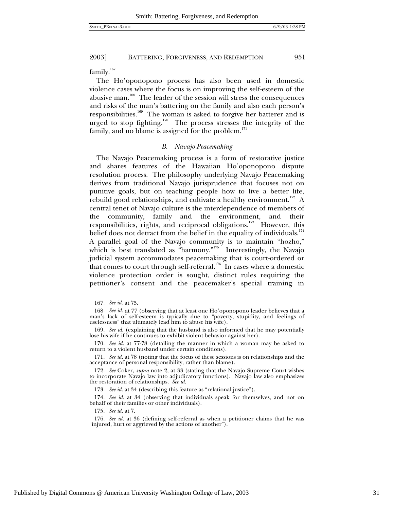family.<sup>167</sup>

The Ho'oponopono process has also been used in domestic violence cases where the focus is on improving the self-esteem of the abusive man.<sup>168</sup> The leader of the session will stress the consequences and risks of the man's battering on the family and also each person's responsibilities.<sup>169</sup> The woman is asked to forgive her batterer and is urged to stop fighting.<sup>170</sup> The process stresses the integrity of the family, and no blame is assigned for the problem. $^{171}$ 

#### *B. Navajo Peacemaking*

The Navajo Peacemaking process is a form of restorative justice and shares features of the Hawaiian Ho'oponopono dispute resolution process. The philosophy underlying Navajo Peacemaking derives from traditional Navajo jurisprudence that focuses not on punitive goals, but on teaching people how to live a better life, rebuild good relationships, and cultivate a healthy environment.<sup>172</sup> A central tenet of Navajo culture is the interdependence of members of the community, family and the environment, and their responsibilities, rights, and reciprocal obligations.<sup>173</sup> However, this belief does not detract from the belief in the equality of individuals.<sup>174</sup> A parallel goal of the Navajo community is to maintain "hozho," which is best translated as "harmony."<sup>175</sup> Interestingly, the Navajo judicial system accommodates peacemaking that is court-ordered or that comes to court through self-referral.<sup>176</sup> In cases where a domestic violence protection order is sought, distinct rules requiring the petitioner's consent and the peacemaker's special training in

 $\overline{a}$ 

175*. See id.* at 7.

<sup>167</sup>*. See id.* at 75.

<sup>168</sup>*. See id.* at 77 (observing that at least one Ho'oponopono leader believes that a man's lack of self-esteem is typically due to "poverty, stupidity, and feelings of uselessness" that ultimately lead him to abuse his wife).

<sup>169</sup>*. See id.* (explaining that the husband is also informed that he may potentially lose his wife if he continues to exhibit violent behavior against her).

<sup>170</sup>*. See id.* at 77-78 (detailing the manner in which a woman may be asked to return to a violent husband under certain conditions).

<sup>171</sup>*. See id.* at 78 (noting that the focus of these sessions is on relationships and the acceptance of personal responsibility, rather than blame).

<sup>172</sup>*. See* Coker, *supra* note 2, at 33 (stating that the Navajo Supreme Court wishes to incorporate Navajo law into adjudicatory functions). Navajo law also emphasizes the restoration of relationships. *See id.*

<sup>173</sup>*. See id.* at 34 (describing this feature as "relational justice").

<sup>174</sup>*. See id.* at 34 (observing that individuals speak for themselves, and not on behalf of their families or other individuals).

<sup>176</sup>*. See id.* at 36 (defining self-referral as when a petitioner claims that he was "injured, hurt or aggrieved by the actions of another").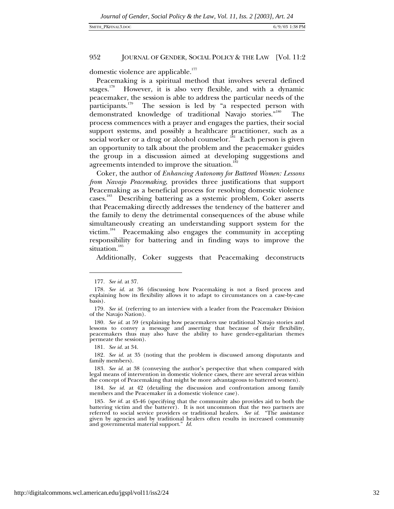domestic violence are applicable.<sup>177</sup>

Peacemaking is a spiritual method that involves several defined stages.<sup>178</sup> However, it is also very flexible, and with a dynamic peacemaker, the session is able to address the particular needs of the participants.<sup>179</sup> The session is led by "a respected person with demonstrated knowledge of traditional Navajo stories.<sup>"180</sup> The process commences with a prayer and engages the parties, their social support systems, and possibly a healthcare practitioner, such as a social worker or a drug or alcohol counselor.<sup>181</sup> Each person is given an opportunity to talk about the problem and the peacemaker guides the group in a discussion aimed at developing suggestions and agreements intended to improve the situation.<sup>18</sup>

Coker, the author of *Enhancing Autonomy for Battered Women: Lessons from Navajo Peacemaking*, provides three justifications that support Peacemaking as a beneficial process for resolving domestic violence cases.183 Describing battering as a systemic problem, Coker asserts that Peacemaking directly addresses the tendency of the batterer and the family to deny the detrimental consequences of the abuse while simultaneously creating an understanding support system for the victim.<sup>184</sup> Peacemaking also engages the community in accepting responsibility for battering and in finding ways to improve the situation.<sup>185</sup>

Additionally, Coker suggests that Peacemaking deconstructs

 $\overline{a}$ 

181*. See id.* at 34.

182*. See id.* at 35 (noting that the problem is discussed among disputants and family members).

184*. See id.* at 42 (detailing the discussion and confrontation among family members and the Peacemaker in a domestic violence case).

<sup>177</sup>*. See id.* at 37.

<sup>178</sup>*. See id.* at 36 (discussing how Peacemaking is not a fixed process and explaining how its flexibility allows it to adapt to circumstances on a case-by-case basis).

<sup>179</sup>*. See id.* (referring to an interview with a leader from the Peacemaker Division of the Navajo Nation).

<sup>180</sup>*. See id.* at 59 (explaining how peacemakers use traditional Navajo stories and lessons to convey a message and asserting that because of their flexibility, peacemakers thus may also have the ability to have gender-egalitarian themes permeate the session).

<sup>183</sup>*. See id.* at 38 (conveying the author's perspective that when compared with legal means of intervention in domestic violence cases, there are several areas within the concept of Peacemaking that might be more advantageous to battered women).

<sup>185</sup>*. See id.* at 45-46 (specifying that the community also provides aid to both the battering victim and the batterer). It is not uncommon that the two partners are referred to social service providers or traditional healers. *See id.* "The assistance given by agencies and by traditional healers often results in increased community and governmental material support." *Id.*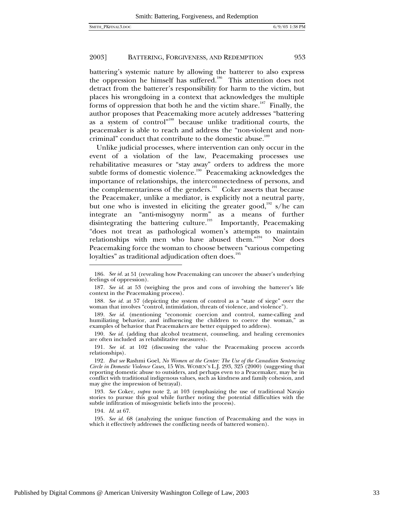battering's systemic nature by allowing the batterer to also express the oppression he himself has suffered.<sup>186</sup> This attention does not detract from the batterer's responsibility for harm to the victim, but places his wrongdoing in a context that acknowledges the multiple forms of oppression that both he and the victim share.<sup>187</sup> Finally, the author proposes that Peacemaking more acutely addresses "battering as a system of control"<sup>188</sup> because unlike traditional courts, the peacemaker is able to reach and address the "non-violent and noncriminal" conduct that contribute to the domestic abuse.<sup>189</sup>

Unlike judicial processes, where intervention can only occur in the event of a violation of the law, Peacemaking processes use rehabilitative measures or "stay away" orders to address the more subtle forms of domestic violence.<sup>190</sup> Peacemaking acknowledges the importance of relationships, the interconnectedness of persons, and the complementariness of the genders.<sup>191</sup> Coker asserts that because the Peacemaker, unlike a mediator, is explicitly not a neutral party, but one who is invested in eliciting the greater good,<sup>192</sup> s/he can integrate an "anti-misogyny norm" as a means of further disintegrating the battering culture.<sup>193</sup> Importantly, Peacemaking "does not treat as pathological women's attempts to maintain relationships with men who have abused them."<sup>194</sup> Nor does Peacemaking force the woman to choose between "various competing loyalties" as traditional adjudication often does.<sup>195</sup>

190*. See id.* (adding that alcohol treatment, counseling, and healing ceremonies are often included as rehabilitative measures).

191*. See id.* at 102 (discussing the value the Peacemaking process accords relationships).

194*. Id.* at 67.

<sup>186</sup>*. See id.* at 51 (revealing how Peacemaking can uncover the abuser's underlying feelings of oppression).

<sup>187</sup>*. See id.* at 53 (weighing the pros and cons of involving the batterer's life context in the Peacemaking process).

<sup>188</sup>*. See id.* at 57 (depicting the system of control as a "state of siege" over the woman that involves "control, intimidation, threats of violence, and violence").

<sup>189</sup>*. See id.* (mentioning "economic coercion and control, name-calling and humiliating behavior, and influencing the children to coerce the woman," as examples of behavior that Peacemakers are better equipped to address).

<sup>192</sup>*. But see* Rashmi Goel, *No Women at the Center: The Use of the Canadian Sentencing Circle in Domestic Violence Cases,* 15 WIS. WOMEN'S L.J. 293, 325 (2000) (suggesting that reporting domestic abuse to outsiders, and perhaps even to a Peacemaker, may be in conflict with traditional indigenous values, such as kindness and family cohesion, and may give the impression of betrayal).

<sup>193</sup>*. See* Coker*, supra* note 2, at 103 (emphasizing the use of traditional Navajo stories to pursue this goal while further noting the potential difficulties with the subtle infiltration of misogynistic beliefs into the process).

<sup>195</sup>*. See id.* 68 (analyzing the unique function of Peacemaking and the ways in which it effectively addresses the conflicting needs of battered women).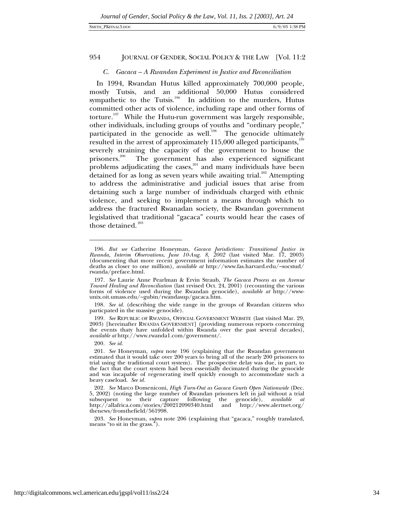# *C. Gacaca – A Rwandan Experiment in Justice and Reconciliation*

In 1994, Rwandan Hutus killed approximately 700,000 people, mostly Tutsis, and an additional 50,000 Hutus considered sympathetic to the Tutsis.<sup>196</sup> In addition to the murders, Hutus committed other acts of violence, including rape and other forms of torture.<sup>197</sup> While the Hutu-run government was largely responsible, other individuals, including groups of youths and "ordinary people," participated in the genocide as well.<sup>198</sup> The genocide ultimately resulted in the arrest of approximately  $115,000$  alleged participants,<sup>199</sup> severely straining the capacity of the government to house the prisoners.<sup>200</sup> The government has also experienced significant problems adjudicating the cases, $201$  and many individuals have been detained for as long as seven years while awaiting trial.<sup>202</sup> Attempting to address the administrative and judicial issues that arise from detaining such a large number of individuals charged with ethnic violence, and seeking to implement a means through which to address the fractured Rwanadan society, the Rwandan government legislatived that traditional "gacaca" courts would hear the cases of those detained.<sup>203</sup>

200*. See id.*

 $\overline{a}$ 

203*. See* Honeyman, *supra* note 206 (explaining that "gacaca," roughly translated, means "to sit in the grass.").

<sup>196</sup>*. But see* Catherine Honeyman, *Gacaca Jurisdictions: Transitional Justice in Rwanda, Interim Observations*, *June 10-Aug. 8, 2002* (last visited Mar. 17, 2003) (documenting that more recent government information estimates the number of deaths as closer to one million), *available at* http://www.fas.harvard.edu/~socstud/ rwanda/preface.html*.*

<sup>197</sup>*. See* Laurie Anne Pearlman & Ervin Straub, *The Gacaca Process as an Avenue Toward Healing and Reconciliation* (last revised Oct. 24, 2001) (recounting the various forms of violence used during the Rwandan genocide), *available at* http://wwwunix.oit.umass.edu/~gubin/rwandasup/gacaca.htm.

<sup>198</sup>*. See id.* (describing the wide range in the groups of Rwandan citizens who particpated in the massive genocide).

<sup>199</sup>*. See* REPUBLIC OF RWANDA, OFFICIAL GOVERNMENT WEBSITE (last visited Mar. 29, 2003) [hereinafter RWANDA GOVERNMENT] (providing numerous reports concerning the events thaty have unfolded within Rwanda over the past several decades), *available at* http://www.rwanda1.com/government/.

<sup>201</sup>*. See* Honeyman, *supra* note 196 (explaining that the Rwandan government estimated that it would take over 200 years to bring all of the nearly 200 prisoners to trial using the traditional court system). The prospective delay was due, in part, to the fact that the court system had been essentially decimated during the genocide and was incapable of regenerating itself quickly enough to accommodate such a heavy caseload. *See id.*

<sup>202</sup>*. See* Marco Domeniconi, *High Turn-Out as Gacaca Courts Open Nationwide* (Dec. 5, 2002) (noting the large number of Rwandan prisoners left in jail without a trial subsequent to their capture following the genocide), *available at*<br>http://allafrica.com/stories/200212090340.html and http://www.alertnet.org/ http://allafrica.com/stories/200212090340.html and thenews/fromthefield/561998.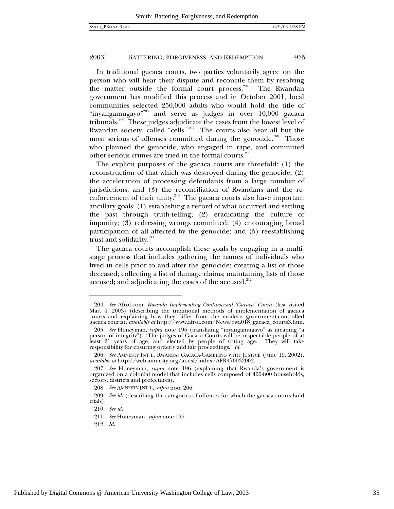In traditional gacaca courts, two parties voluntarily agree on the person who will hear their dispute and reconcile them by resolving the matter outside the formal court process.<sup>204</sup> The Rwandan government has modified this process and in October 2001, local communities selected 250,000 adults who would hold the title of "inyangamugayo"<sup>205</sup> and serve as judges in over  $10,000$  gacaca tribunals.206 These judges adjudicate the cases from the lowest level of Rwandan society, called "cells."<sup>207</sup> The courts also hear all but the most serious of offenses committed during the genocide.<sup>208</sup> Those who planned the genocide, who engaged in rape, and committed other serious crimes are tried in the formal courts.<sup>20</sup>

The explicit purposes of the gacaca courts are threefold: (1) the reconstruction of that which was destroyed during the genocide; (2) the acceleration of processing defendants from a large number of jurisdictions; and (3) the reconciliation of Rwandans and the reenforcement of their unity.<sup>210</sup> The gacaca courts also have important ancillary goals: (1) establishing a record of what occurred and settling the past through truth-telling; (2) eradicating the culture of impunity; (3) redressing wrongs committed; (4) encouraging broad participation of all affected by the genocide; and (5) reestablishing trust and solidarity.<sup>211</sup>

The gacaca courts accomplish these goals by engaging in a multistage process that includes gathering the names of individuals who lived in cells prior to and after the genocide; creating a list of those deceased; collecting a list of damage claims; maintaining lists of those accused; and adjudicating the cases of the accused. $^{212}$ 

<sup>204</sup>*. See* Afrol.com, *Rwanda Implementing Controversial 'Gacaca' Courts* (last visited Mar. 4, 2003) (describing the traditional methods of implementation of gacaca courts and explaining how they differ from the modern government-controlled gacaca courts), *available at* http://www.afrol.com/News/rwa018\_gacaca\_courts3.htm.

<sup>205</sup>*. See* Honeyman, *supra* note 196 (translating "inyangamugayo" as meaning "a person of integrity"). "The judges of Gacaca Courts will be respectable people of at least 21 years of age, and elected by people of voting age. They will take responsibility for ensuring orderly and fair proceedings." *Id.*

<sup>206</sup>*. See* AMNESTY INT'L, RWANDA: GACACA-GAMBLING WITH JUSTICE (June 19, 2002), *available at* http://web.amnesty.org/ai.nsf/index/AFR470032002.

<sup>207</sup>*. See* Honeyman, *supra* note 196 (explaining that Rwanda's government is organized on a colonial model that includes cells composed of 400-800 households, sectors, districts and prefectures).

<sup>208</sup>*. See* AMNESTY INT'L, *supra* note 206.

<sup>209.</sup> See id. (describing the categories of offenses for which the gacaca courts hold trials).

<sup>210</sup>*. See id.*

<sup>211</sup>*. See* Honeyman, *supra* note 196.

<sup>212</sup>*. Id.*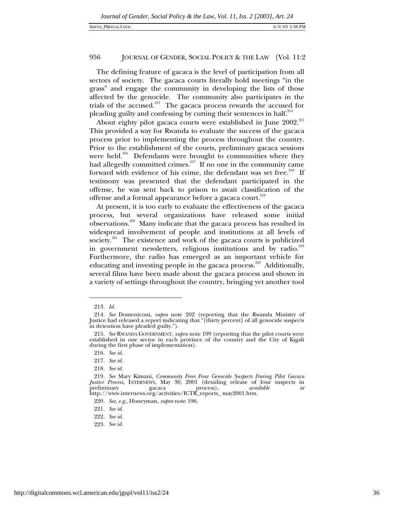The defining feature of gacaca is the level of participation from all sectors of society. The gacaca courts literally hold meetings "in the grass" and engage the community in developing the lists of those affected by the genocide. The community also participates in the trials of the accused. $213$  The gacaca process rewards the accused for pleading guilty and confessing by cutting their sentences in half. $^{214}$ 

About eighty pilot gacaca courts were established in June 2002.<sup>215</sup> This provided a way for Rwanda to evaluate the success of the gacaca process prior to implementing the process throughout the country. Prior to the establishment of the courts, preliminary gacaca sessions were held.<sup>216</sup> Defendants were brought to communities where they had allegedly committed crimes.<sup>217</sup> If no one in the community came forward with evidence of his crime, the defendant was set free.<sup>218</sup> If testimony was presented that the defendant participated in the offense, he was sent back to prison to await classification of the offense and a formal appearance before a gacaca court.<sup>219</sup>

At present, it is too early to evaluate the effectiveness of the gacaca process, but several organizations have released some initial observations.220 Many indicate that the gacaca process has resulted in widespread involvement of people and institutions at all levels of society.<sup>221</sup> The existence and work of the gacaca courts is publicized in government newsletters, religious institutions and by radio.<sup>222</sup> Furthermore, the radio has emerged as an important vehicle for educating and investing people in the gacaca process.<sup>223</sup> Additionally, several films have been made about the gacaca process and shown in a variety of settings throughout the country, bringing yet another tool

 $\overline{a}$ 

223*. See id.*

<sup>213</sup>*. Id.*

<sup>214</sup>*. See* Domeniconi, *supra* note 202 (reporting that the Rwanda Ministry of Justice had released a report indicating that "[thirty percent] of all genocide suspects in detention have pleaded guilty.").

<sup>215</sup>*. See* RWANDA GOVERNMENT, *supra* note 199 (reporting that the pilot courts were established in one sector in each province of the country and the City of Kigali during the first phase of implementation).

<sup>216</sup>*. See id.*

<sup>217</sup>*. See id.*

<sup>218</sup>*. See id.*

<sup>219</sup>*. See* Mary Kimani, *Community Frees Four Genocide Suspects During Pilot Gacaca Justice Process*, INTERNEWS, May 30, 2001 (detailing release of four suspects in preliminary gacaca process), *available at* http://www.internews.org/activities/ICTR\_reports\_ may2001.htm.

<sup>220</sup>*. See*, *e.g*., Honeyman, *supra* note 196.

<sup>221</sup>*. See id*.

<sup>222</sup>*. See id.*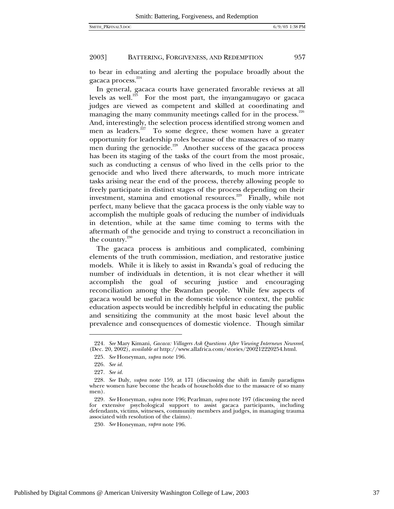to bear in educating and alerting the populace broadly about the gacaca process.<sup>224</sup>

In general, gacaca courts have generated favorable reviews at all levels as well.<sup>225</sup> For the most part, the inyangamugayo or gacaca judges are viewed as competent and skilled at coordinating and managing the many community meetings called for in the process. $226$ And, interestingly, the selection process identified strong women and men as leaders.<sup>227</sup> To some degree, these women have a greater opportunity for leadership roles because of the massacres of so many men during the genocide.<sup>228</sup> Another success of the gacaca process has been its staging of the tasks of the court from the most prosaic, such as conducting a census of who lived in the cells prior to the genocide and who lived there afterwards, to much more intricate tasks arising near the end of the process, thereby allowing people to freely participate in distinct stages of the process depending on their investment, stamina and emotional resources.<sup>229</sup> Finally, while not perfect, many believe that the gacaca process is the only viable way to accomplish the multiple goals of reducing the number of individuals in detention, while at the same time coming to terms with the aftermath of the genocide and trying to construct a reconciliation in the country. $230$ 

The gacaca process is ambitious and complicated, combining elements of the truth commission, mediation, and restorative justice models. While it is likely to assist in Rwanda's goal of reducing the number of individuals in detention, it is not clear whether it will accomplish the goal of securing justice and encouraging reconciliation among the Rwandan people. While few aspects of gacaca would be useful in the domestic violence context, the public education aspects would be incredibly helpful in educating the public and sensitizing the community at the most basic level about the prevalence and consequences of domestic violence. Though similar

<sup>224</sup>*. See* Mary Kimani, *Gacaca: Villagers Ask Questions After Viewing Internews Newsreel*, (Dec. 20, 2002), *available at* http://www.allafrica.com/stories/200212220254.html.

<sup>225</sup>*. See* Honeyman, *supra* note 196.

<sup>226</sup>*. See id.*

<sup>227</sup>*. See id.*

<sup>228</sup>*. See* Daly, *supra* note 159, at 171 (discussing the shift in family paradigms where women have become the heads of households due to the massacre of so many men).

<sup>229</sup>*. See* Honeyman, *supra* note 196; Pearlman, *supra* note 197 (discussing the need for extensive psychological support to assist gacaca participants, including defendants, victims, witnesses, community members and judges, in managing trauma associated with resolution of the claims).

<sup>230</sup>*. See* Honeyman, *supra* note 196.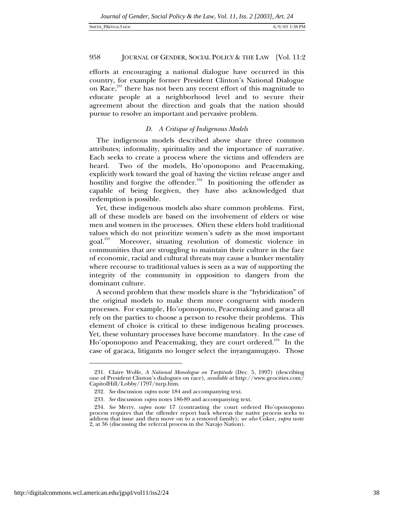efforts at encouraging a national dialogue have occurred in this country, for example former President Clinton's National Dialogue on Race,<sup>231</sup> there has not been any recent effort of this magnitude to educate people at a neighborhood level and to secure their agreement about the direction and goals that the nation should pursue to resolve an important and pervasive problem.

# *D. A Critique of Indigenous Models*

The indigenous models described above share three common attributes; informality, spirituality and the importance of narrative. Each seeks to create a process where the victims and offenders are heard. Two of the models, Ho'oponopono and Peacemaking, explicitly work toward the goal of having the victim release anger and hostility and forgive the offender.<sup>232</sup> In positioning the offender as capable of being forgiven, they have also acknowledged that redemption is possible.

Yet, these indigenous models also share common problems. First, all of these models are based on the involvement of elders or wise men and women in the processes. Often these elders hold traditional values which do not prioritize women's safety as the most important goal.233 Moreover, situating resolution of domestic violence in communities that are struggling to maintain their culture in the face of economic, racial and cultural threats may cause a bunker mentality where recourse to traditional values is seen as a way of supporting the integrity of the community in opposition to dangers from the dominant culture.

A second problem that these models share is the "hybridization" of the original models to make them more congruent with modern processes. For example, Ho'oponopono, Peacemaking and garaca all rely on the parties to choose a person to resolve their problems. This element of choice is critical to these indigenous healing processes. Yet, these voluntary processes have become mandatory. In the case of Ho'oponopono and Peacemaking, they are court ordered.<sup>234</sup> In the case of gacaca, litigants no longer select the inyangamugayo. Those

<sup>231.</sup> Claire Wolfe, *A National Monologue on Turpitude* (Dec. 5, 1997) (describing one of President Clinton's dialogues on race), *available at* http://www.geocities.com/ CapitolHill/Lobby/1797/turp.htm.

<sup>232</sup>*. See* discussion *supra* note 184 and accompanying text.

<sup>233</sup>*. See* discussion *supra* notes 186-89 and accompanying text.

<sup>234</sup>*. See* Merry, *supra* note 17 (contrasting the court ordered Ho'oponopono process requires that the offender report back whereas the native process seeks to address that issue and then move on to a restored family); *see also* Coker, *supra* note 2, at 36 (discussing the referral process in the Navajo Nation).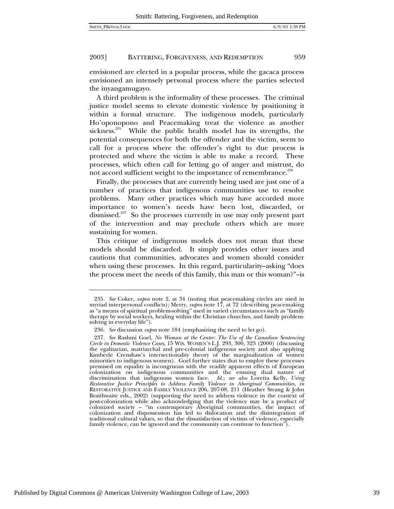$\overline{a}$ 

# 2003] BATTERING, FORGIVENESS, AND REDEMPTION 959

envisioned are elected in a popular process, while the gacaca process envisioned an intensely personal process where the parties selected the inyangamugayo.

A third problem is the informality of these processes. The criminal justice model seems to elevate domestic violence by positioning it within a formal structure. The indigenous models, particularly Ho'oponopono and Peacemaking treat the violence as another sickness. $^{235}$  While the public health model has its strengths, the potential consequences for both the offender and the victim, seem to call for a process where the offender's right to due process is protected and where the victim is able to make a record. These processes, which often call for letting go of anger and mistrust, do not accord sufficient weight to the importance of remembrance.<sup>236</sup>

Finally, the processes that are currently being used are just one of a number of practices that indigenous communities use to resolve problems. Many other practices which may have accorded more importance to women's needs have been lost, discarded, or dismissed.<sup>237</sup> So the processes currently in use may only present part of the intervention and may preclude others which are more sustaining for women.

This critique of indigenous models does not mean that these models should be discarded. It simply provides other issues and cautions that communities, advocates and women should consider when using these processes. In this regard, particularity–asking "does the process meet the needs of this family, this man or this woman?"–is

<sup>235</sup>*. See* Coker, *supra* note 2, at 34 (noting that peacemaking circles are used in myriad interpersonal conflicts); Merry, *supra* note 17, at 72 (describing peacemaking as "a means of spiritual problem-solving" used in varied circumstances such as "family therapy by social workers, healing within the Christian churches, and family problemsolving in everyday life").

<sup>236</sup>*. See* discussion *supra* note 184 (emphasizing the need to let go).

<sup>237</sup>*. See* Rashmi Goel, *No Woman at the Center: The Use of the Canadian Sentencing Circle in Domestic Violence Cases*, 15 WIS. WOMEN'S L.J. 293, 300, 323 (2000) (discussing the egalitarian, matriarchal and pre-colonial indigenous society and also applying Kimberle Crenshaw's intersectionality theory of the marginalization of women minorities to indigenous women). Goel further states that to employ these processes premised on equality is incongruous with the readily apparent effects of European  $\overline{c}$ colonization on indigenous communities and the ensuing dual nature of discrimination that indigenous women face. *Id.*; *see also* Loretta Kelly, *Using Restorative Justice Principles to Address Family Violence in Aboriginal Communities*, *in* RESTORATIVE JUSTICE AND FAMILY VIOLENCE 206, 207-08, 211 (Heather Strang & John Braithwaite eds., 2002) (supporting the need to address violence in the context of post-colonization while also acknowledging that the violence may be a product of colonized society – "in contemporary Aboriginal communities, the impact of colonization and dispossession has led to dislocation and the disintegration of traditional cultural values, so that the dissatisfaction of victims of violence, especially family violence, can be ignored and the community can continue to function").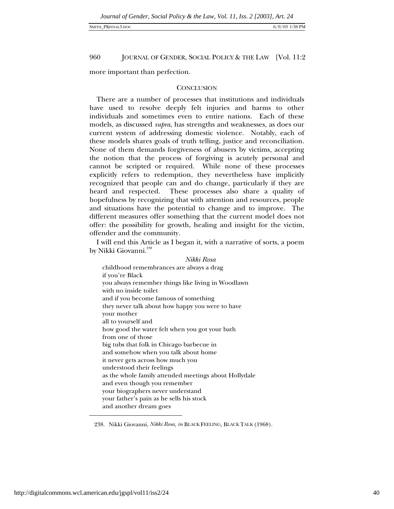#### SMITH\_PKFINAL3.DOC 6/9/03 1:38 PM

960 JOURNAL OF GENDER, SOCIAL POLICY & THE LAW [Vol. 11:2

more important than perfection.

# **CONCLUSION**

There are a number of processes that institutions and individuals have used to resolve deeply felt injuries and harms to other individuals and sometimes even to entire nations. Each of these models, as discussed *supra*, has strengths and weaknesses, as does our current system of addressing domestic violence. Notably, each of these models shares goals of truth telling, justice and reconciliation. None of them demands forgiveness of abusers by victims, accepting the notion that the process of forgiving is acutely personal and cannot be scripted or required. While none of these processes explicitly refers to redemption, they nevertheless have implicitly recognized that people can and do change, particularly if they are heard and respected. These processes also share a quality of hopefulness by recognizing that with attention and resources, people and situations have the potential to change and to improve. The different measures offer something that the current model does not offer: the possibility for growth, healing and insight for the victim, offender and the community.

I will end this Article as I began it, with a narrative of sorts, a poem by Nikki Giovanni.<sup>238</sup>

*Nikki Rosa* childhood remembrances are always a drag if you're Black you always remember things like living in Woodlawn with no inside toilet and if you become famous of something they never talk about how happy you were to have your mother all to yourself and how good the water felt when you got your bath from one of those big tubs that folk in Chicago barbecue in and somehow when you talk about home it never gets across how much you understood their feelings as the whole family attended meetings about Hollydale and even though you remember your biographers never understand your father's pain as he sells his stock and another dream goes

<sup>238.</sup> Nikki Giovanni, *Nikki Rosa*, *in* BLACK FEELING, BLACK TALK (1968).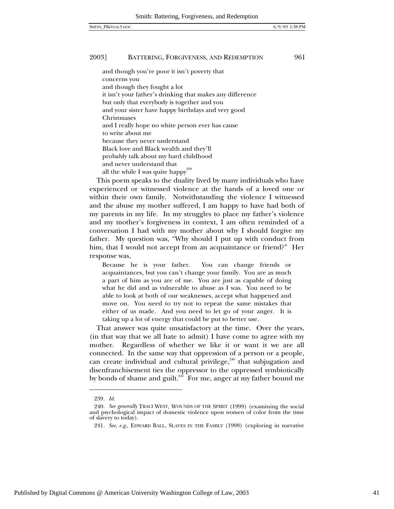and though you're poor it isn't poverty that concerns you and though they fought a lot it isn't your father's drinking that makes any difference but only that everybody is together and you and your sister have happy birthdays and very good Christmases and I really hope no white person ever has cause to write about me because they never understand Black love and Black wealth and they'll probably talk about my hard childhood and never understand that all the while I was quite happy  $^{239}\,$ 

This poem speaks to the duality lived by many individuals who have experienced or witnessed violence at the hands of a loved one or within their own family. Notwithstanding the violence I witnessed and the abuse my mother suffered, I am happy to have had both of my parents in my life. In my struggles to place my father's violence and my mother's forgiveness in context, I am often reminded of a conversation I had with my mother about why I should forgive my father. My question was, "Why should I put up with conduct from him, that I would not accept from an acquaintance or friend?" Her response was,

Because he is your father. You can change friends or acquaintances, but you can't change your family. You are as much a part of him as you are of me. You are just as capable of doing what he did and as vulnerable to abuse as I was. You need to be able to look at both of our weaknesses, accept what happened and move on. You need to try not to repeat the same mistakes that either of us made. And you need to let go of your anger. It is taking up a lot of energy that could be put to better use.

That answer was quite unsatisfactory at the time. Over the years, (in that way that we all hate to admit) I have come to agree with my mother. Regardless of whether we like it or want it we are all connected. In the same way that oppression of a person or a people, can create individual and cultural privilege, $240$  that subjugation and disenfranchisement ties the oppressor to the oppressed symbiotically by bonds of shame and guilt.<sup>241</sup> For me, anger at my father bound me

-

<sup>239</sup>*. Id.*

<sup>240</sup>*. See generally* TRACI WEST, WOUNDS OF THE SPIRIT (1999) (examining the social and psychological impact of domestic violence upon women of color from the time of slavery to today).

<sup>241</sup>*. See*, *e.g*., EDWARD BALL, SLAVES IN THE FAMILY (1998) (exploring in narrative